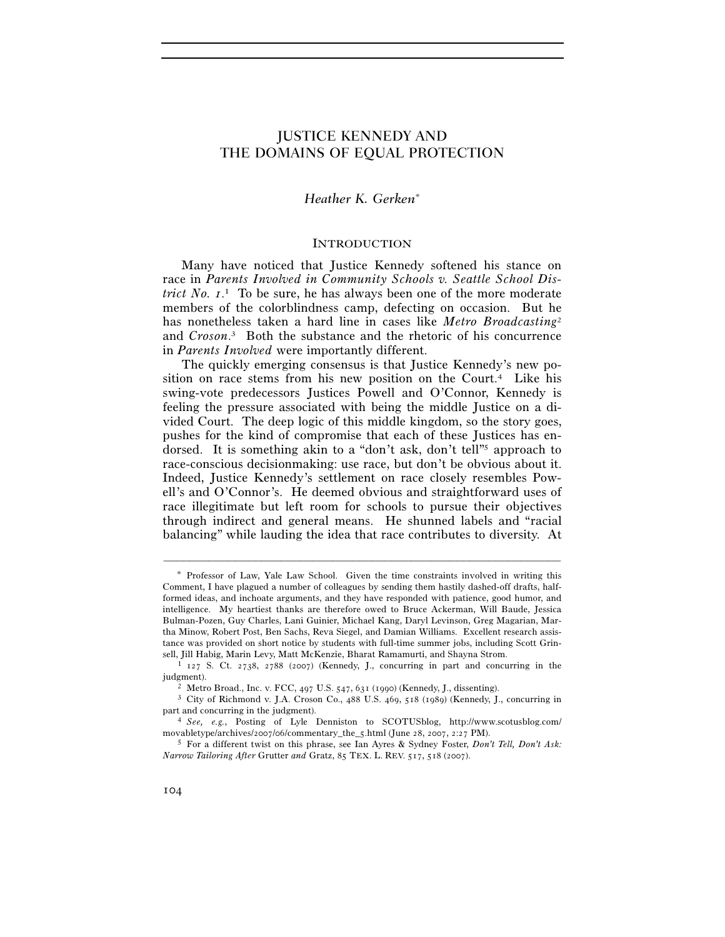# JUSTICE KENNEDY AND THE DOMAINS OF EQUAL PROTECTION

## *Heather K. Gerken*<sup>∗</sup>

### **INTRODUCTION**

Many have noticed that Justice Kennedy softened his stance on race in *Parents Involved in Community Schools v. Seattle School District No. 1.*<sup>1</sup> To be sure, he has always been one of the more moderate members of the colorblindness camp, defecting on occasion. But he has nonetheless taken a hard line in cases like *Metro Broadcasting*<sup>2</sup> and *Croson*. 3 Both the substance and the rhetoric of his concurrence in *Parents Involved* were importantly different.

The quickly emerging consensus is that Justice Kennedy's new position on race stems from his new position on the Court.4 Like his swing-vote predecessors Justices Powell and O'Connor, Kennedy is feeling the pressure associated with being the middle Justice on a divided Court. The deep logic of this middle kingdom, so the story goes, pushes for the kind of compromise that each of these Justices has endorsed. It is something akin to a "don't ask, don't tell"<sup>5</sup> approach to race-conscious decisionmaking: use race, but don't be obvious about it. Indeed, Justice Kennedy's settlement on race closely resembles Powell's and O'Connor's. He deemed obvious and straightforward uses of race illegitimate but left room for schools to pursue their objectives through indirect and general means. He shunned labels and "racial balancing" while lauding the idea that race contributes to diversity. At

<sup>∗</sup> Professor of Law, Yale Law School. Given the time constraints involved in writing this Comment, I have plagued a number of colleagues by sending them hastily dashed-off drafts, halfformed ideas, and inchoate arguments, and they have responded with patience, good humor, and intelligence. My heartiest thanks are therefore owed to Bruce Ackerman, Will Baude, Jessica Bulman-Pozen, Guy Charles, Lani Guinier, Michael Kang, Daryl Levinson, Greg Magarian, Martha Minow, Robert Post, Ben Sachs, Reva Siegel, and Damian Williams. Excellent research assistance was provided on short notice by students with full-time summer jobs, including Scott Grinsell, Jill Habig, Marin Levy, Matt McKenzie, Bharat Ramamurti, and Shayna Strom. 1 <sup>127</sup> S. Ct. 2738, 2788 (2007) (Kennedy, J., concurring in part and concurring in the

judgment). 2 Metro Broad., Inc. v. FCC, 497 U.S. 547, 631 (1990) (Kennedy, J., dissenting). 3 City of Richmond v. J.A. Croson Co., 488 U.S. 469, 518 (1989) (Kennedy, J., concurring in

part and concurring in the judgment).<br><sup>4</sup> *See, e.g.*, Posting of Lyle Denniston to SCOTUSblog, http://www.scotusblog.com/

movabletype/archives/2007/06/commentary\_the\_5.html (June 28, 2007, 2:27 PM). 5 For a different twist on this phrase, see Ian Ayres & Sydney Foster, *Don't Tell, Don't Ask:* 

*Narrow Tailoring After* Grutter *and* Gratz, 85 TEX. L. REV. 517, 518 (2007).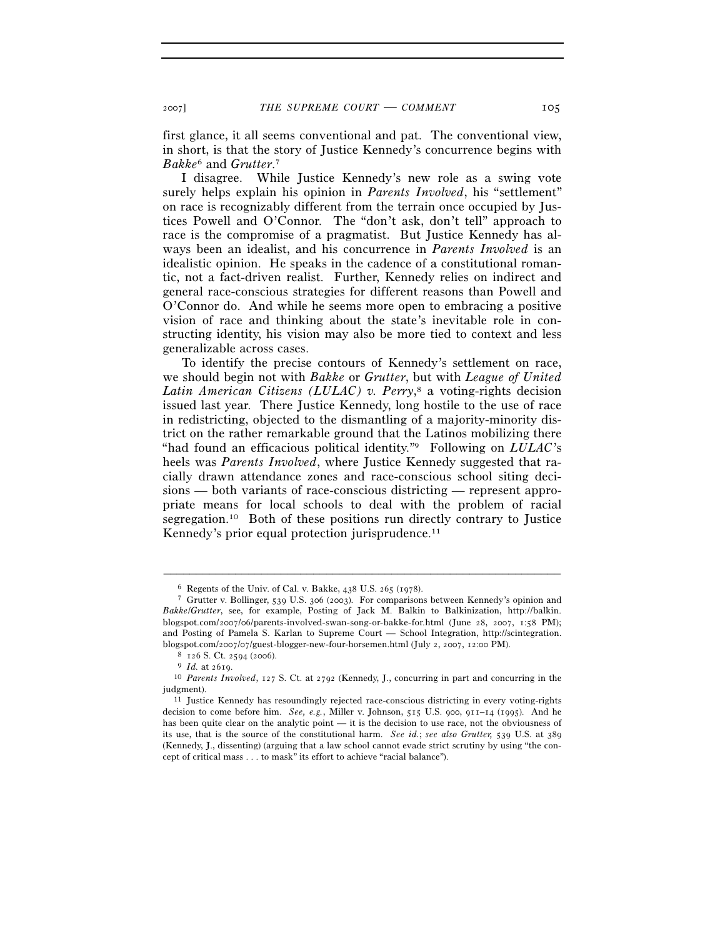first glance, it all seems conventional and pat. The conventional view, in short, is that the story of Justice Kennedy's concurrence begins with *Bakke*6 and *Grutter*. 7

I disagree. While Justice Kennedy's new role as a swing vote surely helps explain his opinion in *Parents Involved*, his "settlement" on race is recognizably different from the terrain once occupied by Justices Powell and O'Connor. The "don't ask, don't tell" approach to race is the compromise of a pragmatist. But Justice Kennedy has always been an idealist, and his concurrence in *Parents Involved* is an idealistic opinion. He speaks in the cadence of a constitutional romantic, not a fact-driven realist. Further, Kennedy relies on indirect and general race-conscious strategies for different reasons than Powell and O'Connor do. And while he seems more open to embracing a positive vision of race and thinking about the state's inevitable role in constructing identity, his vision may also be more tied to context and less generalizable across cases.

To identify the precise contours of Kennedy's settlement on race, we should begin not with *Bakke* or *Grutter*, but with *League of United Latin American Citizens (LULAC) v. Perry*, 8 a voting-rights decision issued last year. There Justice Kennedy, long hostile to the use of race in redistricting, objected to the dismantling of a majority-minority district on the rather remarkable ground that the Latinos mobilizing there "had found an efficacious political identity."9 Following on *LULAC*'s heels was *Parents Involved*, where Justice Kennedy suggested that racially drawn attendance zones and race-conscious school siting decisions — both variants of race-conscious districting — represent appropriate means for local schools to deal with the problem of racial segregation.10 Both of these positions run directly contrary to Justice Kennedy's prior equal protection jurisprudence.<sup>11</sup>

<sup>&</sup>lt;sup>6</sup> Regents of the Univ. of Cal. v. Bakke, 438 U.S. 265 (1978).<br><sup>7</sup> Grutter v. Bollinger, 539 U.S. 306 (2003). For comparisons between Kennedy's opinion and *Bakke*/*Grutter*, see, for example, Posting of Jack M. Balkin to Balkinization, http://balkin. blogspot.com/2007/06/parents-involved-swan-song-or-bakke-for.html (June 28, 2007, 1:58 PM); and Posting of Pamela S. Karlan to Supreme Court — School Integration, http://scintegration. blogspot.com/2007/07/guest-blogger-new-four-horsemen.html (July 2, 2007, 12:00 PM).<br><sup>8</sup> 126 S. Ct. 2594 (2006).<br><sup>9</sup> *Id.* at 2619.<br><sup>9</sup> *Id.* at 2619.<br><sup>9</sup> *Id.* at 2619.<br><sup>9</sup> *Id.* at 2619.

judgment).<br><sup>11</sup> Justice Kennedy has resoundingly rejected race-conscious districting in every voting-rights

decision to come before him. *See, e.g.*, Miller v. Johnson, 515 U.S. 900, 911–14 (1995). And he has been quite clear on the analytic point — it is the decision to use race, not the obviousness of its use, that is the source of the constitutional harm. *See id.*; *see also Grutter,* 539 U.S. at 389 (Kennedy, J., dissenting) (arguing that a law school cannot evade strict scrutiny by using "the concept of critical mass . . . to mask" its effort to achieve "racial balance").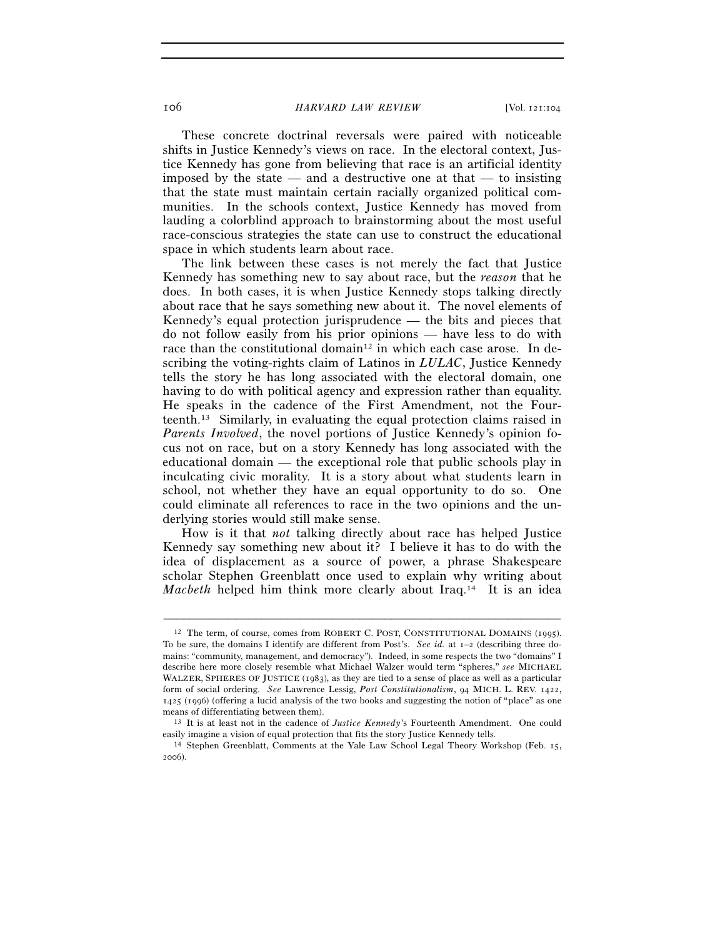These concrete doctrinal reversals were paired with noticeable shifts in Justice Kennedy's views on race. In the electoral context, Justice Kennedy has gone from believing that race is an artificial identity imposed by the state  $-$  and a destructive one at that  $-$  to insisting that the state must maintain certain racially organized political communities. In the schools context, Justice Kennedy has moved from lauding a colorblind approach to brainstorming about the most useful race-conscious strategies the state can use to construct the educational space in which students learn about race.

The link between these cases is not merely the fact that Justice Kennedy has something new to say about race, but the *reason* that he does. In both cases, it is when Justice Kennedy stops talking directly about race that he says something new about it. The novel elements of Kennedy's equal protection jurisprudence — the bits and pieces that do not follow easily from his prior opinions — have less to do with race than the constitutional domain<sup>12</sup> in which each case arose. In describing the voting-rights claim of Latinos in *LULAC*, Justice Kennedy tells the story he has long associated with the electoral domain, one having to do with political agency and expression rather than equality. He speaks in the cadence of the First Amendment, not the Fourteenth.13 Similarly, in evaluating the equal protection claims raised in *Parents Involved*, the novel portions of Justice Kennedy's opinion focus not on race, but on a story Kennedy has long associated with the educational domain — the exceptional role that public schools play in inculcating civic morality. It is a story about what students learn in school, not whether they have an equal opportunity to do so. One could eliminate all references to race in the two opinions and the underlying stories would still make sense.

How is it that *not* talking directly about race has helped Justice Kennedy say something new about it? I believe it has to do with the idea of displacement as a source of power, a phrase Shakespeare scholar Stephen Greenblatt once used to explain why writing about *Macbeth* helped him think more clearly about Iraq.14 It is an idea

<sup>&</sup>lt;sup>12</sup> The term, of course, comes from ROBERT C. POST, CONSTITUTIONAL DOMAINS (1995). To be sure, the domains I identify are different from Post's. *See id.* at  $I-2$  (describing three domains: "community, management, and democracy"). Indeed, in some respects the two "domains" I describe here more closely resemble what Michael Walzer would term "spheres," *see* MICHAEL WALZER, SPHERES OF JUSTICE (1983), as they are tied to a sense of place as well as a particular form of social ordering. *See* Lawrence Lessig, *Post Constitutionalism*, 94 MICH. L. REV. 1422, 1425 (1996) (offering a lucid analysis of the two books and suggesting the notion of "place" as one

means of differentiating between them).<br><sup>13</sup> It is at least not in the cadence of *Justice Kennedy*'s Fourteenth Amendment. One could<br>easily imagine a vision of equal protection that fits the story Justice Kennedy tells.

<sup>&</sup>lt;sup>14</sup> Stephen Greenblatt, Comments at the Yale Law School Legal Theory Workshop (Feb. 15, 2006).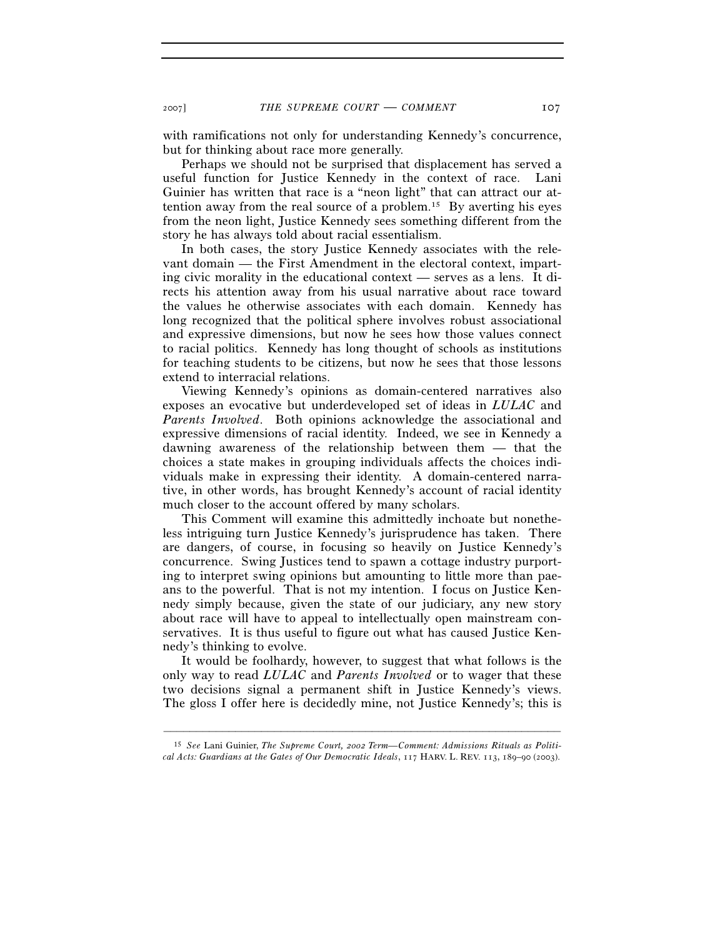with ramifications not only for understanding Kennedy's concurrence, but for thinking about race more generally.

Perhaps we should not be surprised that displacement has served a useful function for Justice Kennedy in the context of race. Lani Guinier has written that race is a "neon light" that can attract our attention away from the real source of a problem.<sup>15</sup> By averting his eyes from the neon light, Justice Kennedy sees something different from the story he has always told about racial essentialism.

In both cases, the story Justice Kennedy associates with the relevant domain — the First Amendment in the electoral context, imparting civic morality in the educational context — serves as a lens. It directs his attention away from his usual narrative about race toward the values he otherwise associates with each domain. Kennedy has long recognized that the political sphere involves robust associational and expressive dimensions, but now he sees how those values connect to racial politics. Kennedy has long thought of schools as institutions for teaching students to be citizens, but now he sees that those lessons extend to interracial relations.

Viewing Kennedy's opinions as domain-centered narratives also exposes an evocative but underdeveloped set of ideas in *LULAC* and *Parents Involved*. Both opinions acknowledge the associational and expressive dimensions of racial identity. Indeed, we see in Kennedy a dawning awareness of the relationship between them — that the choices a state makes in grouping individuals affects the choices individuals make in expressing their identity. A domain-centered narrative, in other words, has brought Kennedy's account of racial identity much closer to the account offered by many scholars.

This Comment will examine this admittedly inchoate but nonetheless intriguing turn Justice Kennedy's jurisprudence has taken. There are dangers, of course, in focusing so heavily on Justice Kennedy's concurrence. Swing Justices tend to spawn a cottage industry purporting to interpret swing opinions but amounting to little more than paeans to the powerful. That is not my intention. I focus on Justice Kennedy simply because, given the state of our judiciary, any new story about race will have to appeal to intellectually open mainstream conservatives. It is thus useful to figure out what has caused Justice Kennedy's thinking to evolve.

It would be foolhardy, however, to suggest that what follows is the only way to read *LULAC* and *Parents Involved* or to wager that these two decisions signal a permanent shift in Justice Kennedy's views. The gloss I offer here is decidedly mine, not Justice Kennedy's; this is

<sup>–––––––––––––––––––––––––––––––––––––––––––––––––––––––––––––</sup> 15 *See* Lani Guinier, *The Supreme Court, 2002 Term—Comment: Admissions Rituals as Political Acts: Guardians at the Gates of Our Democratic Ideals*, 117 HARV. L. REV. 113, 189–90 (2003).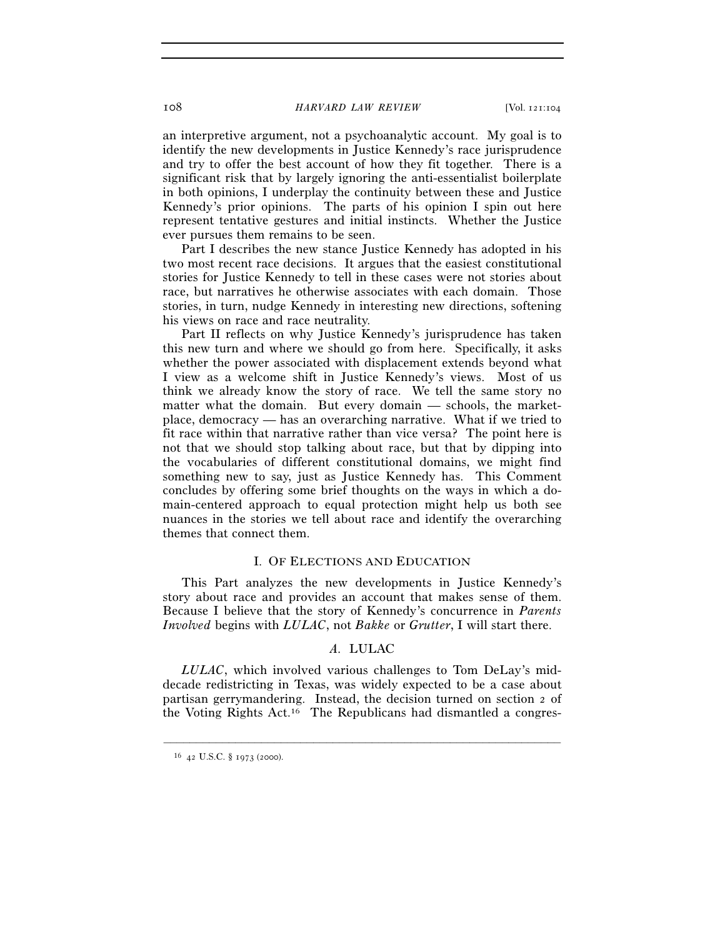an interpretive argument, not a psychoanalytic account. My goal is to identify the new developments in Justice Kennedy's race jurisprudence and try to offer the best account of how they fit together. There is a significant risk that by largely ignoring the anti-essentialist boilerplate in both opinions, I underplay the continuity between these and Justice Kennedy's prior opinions. The parts of his opinion I spin out here represent tentative gestures and initial instincts. Whether the Justice ever pursues them remains to be seen.

Part I describes the new stance Justice Kennedy has adopted in his two most recent race decisions. It argues that the easiest constitutional stories for Justice Kennedy to tell in these cases were not stories about race, but narratives he otherwise associates with each domain. Those stories, in turn, nudge Kennedy in interesting new directions, softening his views on race and race neutrality.

Part II reflects on why Justice Kennedy's jurisprudence has taken this new turn and where we should go from here. Specifically, it asks whether the power associated with displacement extends beyond what I view as a welcome shift in Justice Kennedy's views. Most of us think we already know the story of race. We tell the same story no matter what the domain. But every domain — schools, the marketplace, democracy — has an overarching narrative. What if we tried to fit race within that narrative rather than vice versa? The point here is not that we should stop talking about race, but that by dipping into the vocabularies of different constitutional domains, we might find something new to say, just as Justice Kennedy has. This Comment concludes by offering some brief thoughts on the ways in which a domain-centered approach to equal protection might help us both see nuances in the stories we tell about race and identify the overarching themes that connect them.

## I. OF ELECTIONS AND EDUCATION

This Part analyzes the new developments in Justice Kennedy's story about race and provides an account that makes sense of them. Because I believe that the story of Kennedy's concurrence in *Parents Involved* begins with *LULAC*, not *Bakke* or *Grutter*, I will start there.

## *A.* LULAC

*LULAC*, which involved various challenges to Tom DeLay's middecade redistricting in Texas, was widely expected to be a case about partisan gerrymandering. Instead, the decision turned on section 2 of the Voting Rights Act.16 The Republicans had dismantled a congres-

<sup>16</sup> 42 U.S.C. § 1973 (2000).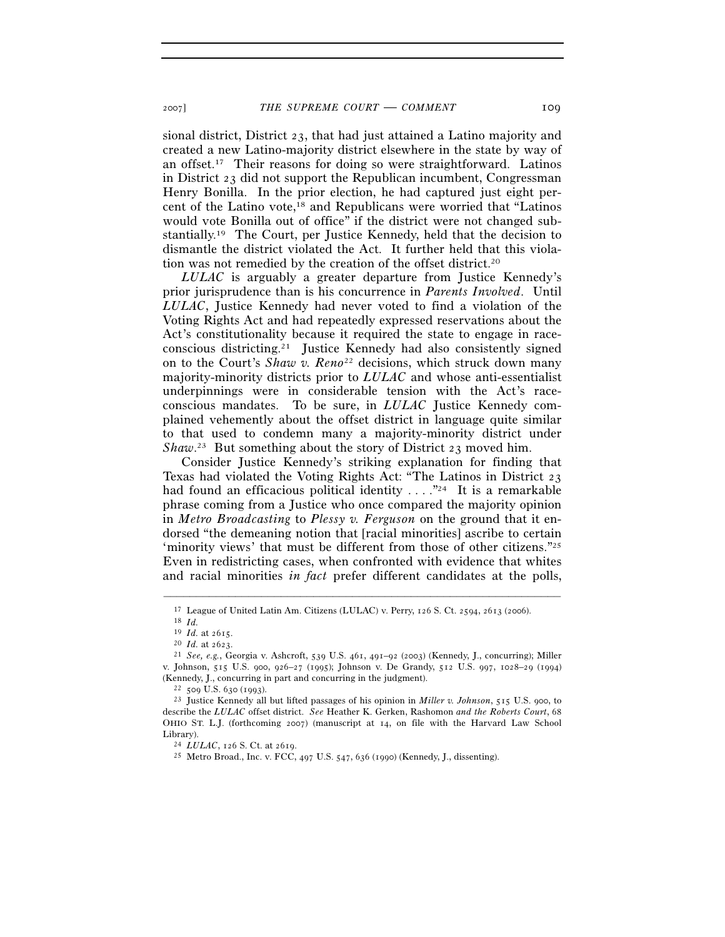sional district, District 23, that had just attained a Latino majority and created a new Latino-majority district elsewhere in the state by way of an offset.17 Their reasons for doing so were straightforward. Latinos in District 23 did not support the Republican incumbent, Congressman Henry Bonilla. In the prior election, he had captured just eight percent of the Latino vote,18 and Republicans were worried that "Latinos would vote Bonilla out of office" if the district were not changed substantially.19 The Court, per Justice Kennedy, held that the decision to dismantle the district violated the Act. It further held that this violation was not remedied by the creation of the offset district.20

*LULAC* is arguably a greater departure from Justice Kennedy's prior jurisprudence than is his concurrence in *Parents Involved*. Until *LULAC*, Justice Kennedy had never voted to find a violation of the Voting Rights Act and had repeatedly expressed reservations about the Act's constitutionality because it required the state to engage in raceconscious districting.21 Justice Kennedy had also consistently signed on to the Court's *Shaw v. Reno*<sup>22</sup> decisions, which struck down many majority-minority districts prior to *LULAC* and whose anti-essentialist underpinnings were in considerable tension with the Act's raceconscious mandates. To be sure, in *LULAC* Justice Kennedy complained vehemently about the offset district in language quite similar to that used to condemn many a majority-minority district under Shaw.<sup>23</sup> But something about the story of District 23 moved him.

Consider Justice Kennedy's striking explanation for finding that Texas had violated the Voting Rights Act: "The Latinos in District 23 had found an efficacious political identity  $\dots$ ."<sup>24</sup> It is a remarkable phrase coming from a Justice who once compared the majority opinion in *Metro Broadcasting* to *Plessy v. Ferguson* on the ground that it endorsed "the demeaning notion that [racial minorities] ascribe to certain 'minority views' that must be different from those of other citizens."25 Even in redistricting cases, when confronted with evidence that whites and racial minorities *in fact* prefer different candidates at the polls,

<sup>&</sup>lt;sup>17</sup> League of United Latin Am. Citizens (LULAC) v. Perry, 126 S. Ct. 2594, 2613 (2006). <sup>18</sup> *Id.* at 2615.

<sup>19</sup> *Id.* at 2615. 20 *Id.* at 2623. 21 *See, e.g.*, Georgia v. Ashcroft, 539 U.S. 461, 491–92 (2003) (Kennedy, J., concurring); Miller v. Johnson, 515 U.S. 900, 926–27 (1995); Johnson v. De Grandy, 512 U.S. 997, 1028–29 (1994)

<sup>(</sup>Kennedy, J., Concurring in part and concurring in the space of his opinion in *Miller v. Johnson*,  $515$  U.S. 900, to  $^{23}$  Justice Kennedy all but lifted passages of his opinion in *Miller v. Johnson*,  $515$  U.S. 900, describe the *LULAC* offset district. *See* Heather K. Gerken, Rashomon *and the Roberts Court*, 68 OHIO ST. L.J. (forthcoming 2007) (manuscript at 14, on file with the Harvard Law School

Library). 24 *LULAC*, 126 S. Ct. at 2619. 25 Metro Broad., Inc. v. FCC, 497 U.S. 547, 636 (1990) (Kennedy, J., dissenting).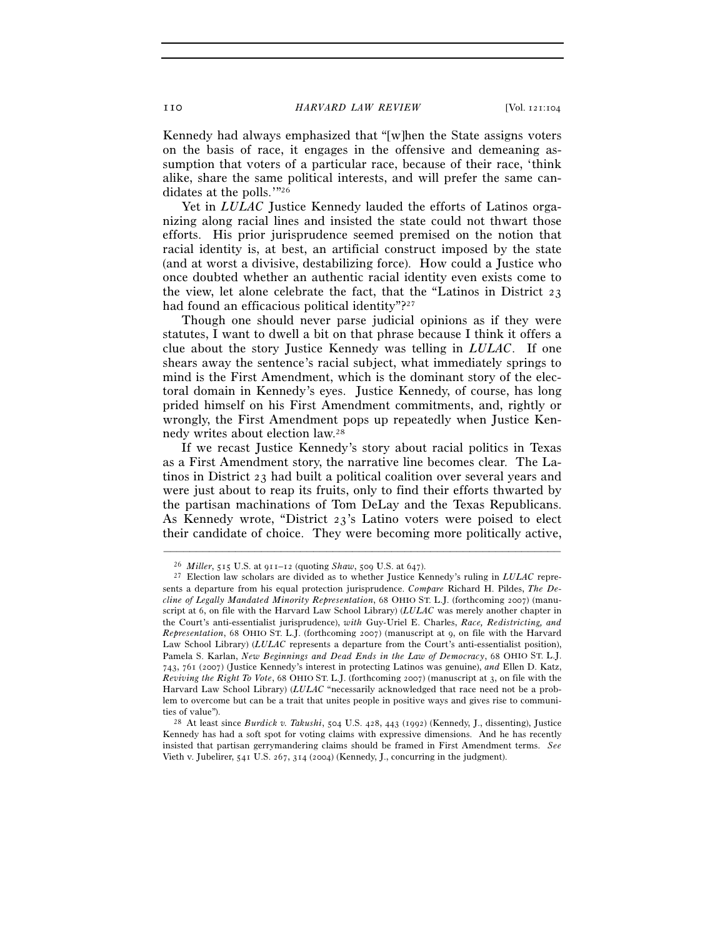Kennedy had always emphasized that "[w]hen the State assigns voters on the basis of race, it engages in the offensive and demeaning assumption that voters of a particular race, because of their race, 'think alike, share the same political interests, and will prefer the same candidates at the polls.'"26

Yet in *LULAC* Justice Kennedy lauded the efforts of Latinos organizing along racial lines and insisted the state could not thwart those efforts. His prior jurisprudence seemed premised on the notion that racial identity is, at best, an artificial construct imposed by the state (and at worst a divisive, destabilizing force). How could a Justice who once doubted whether an authentic racial identity even exists come to the view, let alone celebrate the fact, that the "Latinos in District 23 had found an efficacious political identity"?<sup>27</sup>

Though one should never parse judicial opinions as if they were statutes, I want to dwell a bit on that phrase because I think it offers a clue about the story Justice Kennedy was telling in *LULAC*. If one shears away the sentence's racial subject, what immediately springs to mind is the First Amendment, which is the dominant story of the electoral domain in Kennedy's eyes. Justice Kennedy, of course, has long prided himself on his First Amendment commitments, and, rightly or wrongly, the First Amendment pops up repeatedly when Justice Kennedy writes about election law.28

If we recast Justice Kennedy's story about racial politics in Texas as a First Amendment story, the narrative line becomes clear. The Latinos in District 23 had built a political coalition over several years and were just about to reap its fruits, only to find their efforts thwarted by the partisan machinations of Tom DeLay and the Texas Republicans. As Kennedy wrote, "District 23's Latino voters were poised to elect their candidate of choice. They were becoming more politically active,

<sup>26</sup> *Miller*, 515 U.S. at 911–12 (quoting *Shaw*, 509 U.S. at 647). 27 Election law scholars are divided as to whether Justice Kennedy's ruling in *LULAC* represents a departure from his equal protection jurisprudence. *Compare* Richard H. Pildes, *The Decline of Legally Mandated Minority Representation*, 68 OHIO ST. L.J. (forthcoming 2007) (manuscript at 6, on file with the Harvard Law School Library) (*LULAC* was merely another chapter in the Court's anti-essentialist jurisprudence), *with* Guy-Uriel E. Charles, *Race, Redistricting, and Representation*, 68 OHIO ST. L.J. (forthcoming 2007) (manuscript at 9, on file with the Harvard Law School Library) (*LULAC* represents a departure from the Court's anti-essentialist position), Pamela S. Karlan, *New Beginnings and Dead Ends in the Law of Democracy*, 68 OHIO ST. L.J. 743, 761 (2007) (Justice Kennedy's interest in protecting Latinos was genuine), *and* Ellen D. Katz, *Reviving the Right To Vote*, 68 OHIO ST. L.J. (forthcoming 2007) (manuscript at 3, on file with the Harvard Law School Library) (*LULAC* "necessarily acknowledged that race need not be a problem to overcome but can be a trait that unites people in positive ways and gives rise to communi-

ties of value"). 28 At least since *Burdick v. Takushi*, 504 U.S. 428, 443 (1992) (Kennedy, J., dissenting), Justice Kennedy has had a soft spot for voting claims with expressive dimensions. And he has recently insisted that partisan gerrymandering claims should be framed in First Amendment terms. *See* Vieth v. Jubelirer, 541 U.S. 267, 314 (2004) (Kennedy, J., concurring in the judgment).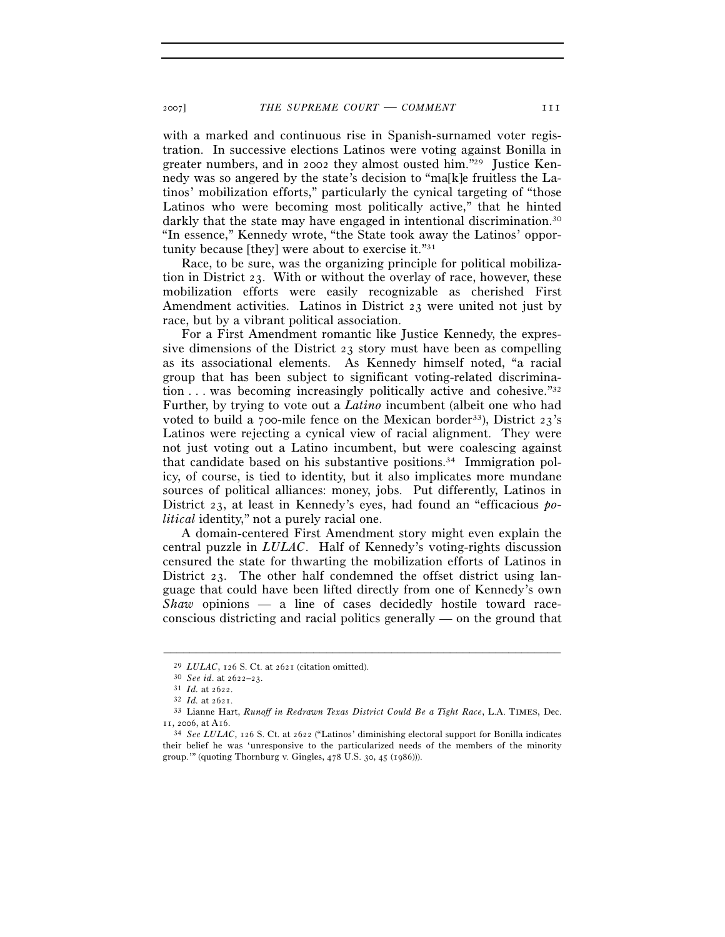with a marked and continuous rise in Spanish-surnamed voter registration. In successive elections Latinos were voting against Bonilla in greater numbers, and in 2002 they almost ousted him."29 Justice Kennedy was so angered by the state's decision to "ma[k]e fruitless the Latinos' mobilization efforts," particularly the cynical targeting of "those Latinos who were becoming most politically active," that he hinted darkly that the state may have engaged in intentional discrimination.<sup>30</sup> "In essence," Kennedy wrote, "the State took away the Latinos' opportunity because [they] were about to exercise it."31

Race, to be sure, was the organizing principle for political mobilization in District 23. With or without the overlay of race, however, these mobilization efforts were easily recognizable as cherished First Amendment activities. Latinos in District 23 were united not just by race, but by a vibrant political association.

For a First Amendment romantic like Justice Kennedy, the expressive dimensions of the District 23 story must have been as compelling as its associational elements. As Kennedy himself noted, "a racial group that has been subject to significant voting-related discrimination . . . was becoming increasingly politically active and cohesive."32 Further, by trying to vote out a *Latino* incumbent (albeit one who had voted to build a 700-mile fence on the Mexican border<sup>33</sup>), District 23's Latinos were rejecting a cynical view of racial alignment. They were not just voting out a Latino incumbent, but were coalescing against that candidate based on his substantive positions.34 Immigration policy, of course, is tied to identity, but it also implicates more mundane sources of political alliances: money, jobs. Put differently, Latinos in District 23, at least in Kennedy's eyes, had found an "efficacious *political* identity," not a purely racial one.

A domain-centered First Amendment story might even explain the central puzzle in *LULAC*. Half of Kennedy's voting-rights discussion censured the state for thwarting the mobilization efforts of Latinos in District 23. The other half condemned the offset district using language that could have been lifted directly from one of Kennedy's own *Shaw* opinions — a line of cases decidedly hostile toward raceconscious districting and racial politics generally — on the ground that

<sup>29</sup> *LULAC*, 126 S. Ct. at 2621 (citation omitted). 30 *See id*. at 2622–23.

<sup>31</sup> *Id.* at 2622. 32 *Id.* at 2621. 33 Lianne Hart, *Runoff in Redrawn Texas District Could Be a Tight Race*, L.A. TIMES, Dec. <sup>11</sup>, 2006, at A16. 34 *See LULAC*, 126 S. Ct. at 2622 ("Latinos' diminishing electoral support for Bonilla indicates

their belief he was 'unresponsive to the particularized needs of the members of the minority group.'" (quoting Thornburg v. Gingles, 478 U.S. 30, 45 (1986))).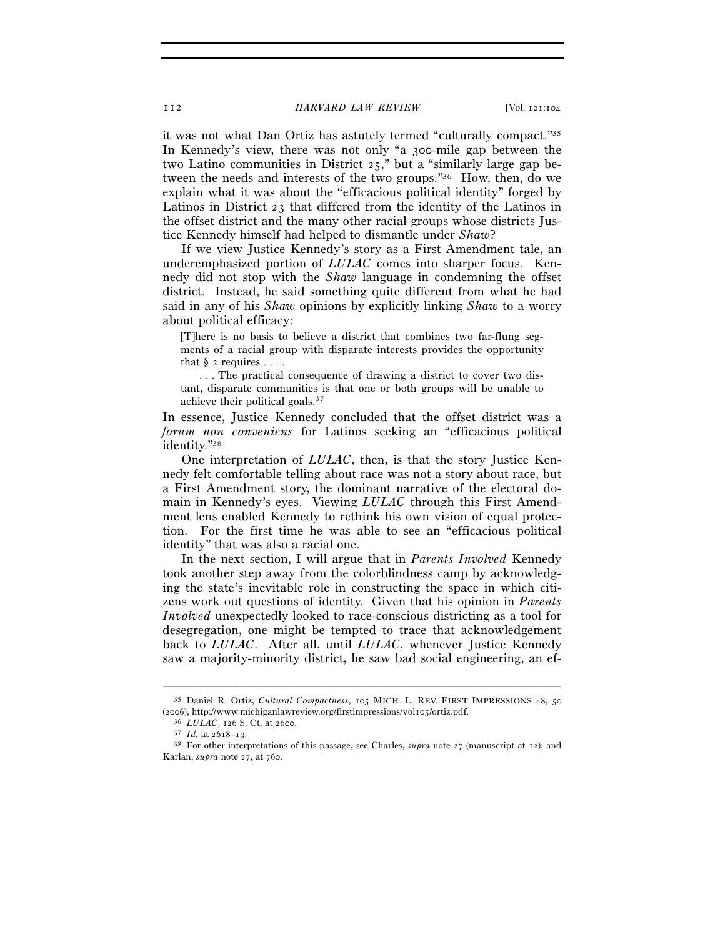it was not what Dan Ortiz has astutely termed "culturally compact."35 In Kennedy's view, there was not only "a 300-mile gap between the two Latino communities in District 25," but a "similarly large gap between the needs and interests of the two groups."36 How, then, do we explain what it was about the "efficacious political identity" forged by Latinos in District 23 that differed from the identity of the Latinos in the offset district and the many other racial groups whose districts Justice Kennedy himself had helped to dismantle under *Shaw*?

If we view Justice Kennedy's story as a First Amendment tale, an underemphasized portion of *LULAC* comes into sharper focus. Kennedy did not stop with the *Shaw* language in condemning the offset district. Instead, he said something quite different from what he had said in any of his *Shaw* opinions by explicitly linking *Shaw* to a worry about political efficacy:

[T]here is no basis to believe a district that combines two far-flung segments of a racial group with disparate interests provides the opportunity that  $\S$  2 requires . . . .

 . . . The practical consequence of drawing a district to cover two distant, disparate communities is that one or both groups will be unable to achieve their political goals.37

In essence, Justice Kennedy concluded that the offset district was a *forum non conveniens* for Latinos seeking an "efficacious political identity."38

One interpretation of *LULAC*, then, is that the story Justice Kennedy felt comfortable telling about race was not a story about race, but a First Amendment story, the dominant narrative of the electoral domain in Kennedy's eyes. Viewing *LULAC* through this First Amendment lens enabled Kennedy to rethink his own vision of equal protection. For the first time he was able to see an "efficacious political identity" that was also a racial one.

In the next section, I will argue that in *Parents Involved* Kennedy took another step away from the colorblindness camp by acknowledging the state's inevitable role in constructing the space in which citizens work out questions of identity. Given that his opinion in *Parents Involved* unexpectedly looked to race-conscious districting as a tool for desegregation, one might be tempted to trace that acknowledgement back to *LULAC*. After all, until *LULAC*, whenever Justice Kennedy saw a majority-minority district, he saw bad social engineering, an ef-

<sup>–––––––––––––––––––––––––––––––––––––––––––––––––––––––––––––</sup> 35 Daniel R. Ortiz, *Cultural Compactness*, 105 MICH. L. REV. FIRST IMPRESSIONS 48, 50 (2006), http://www.michiganlawreview.org/first<br>impressions/vol105/ortiz.pdf. 36 LULAC, 126 S. Ct. at 2600.<br> $37$  Id. at 2618–19.<br> $38$  For other interpretations of this passage, see Charles, *supra* note 27 (manuscript at 1

Karlan, *supra* note 27, at 760.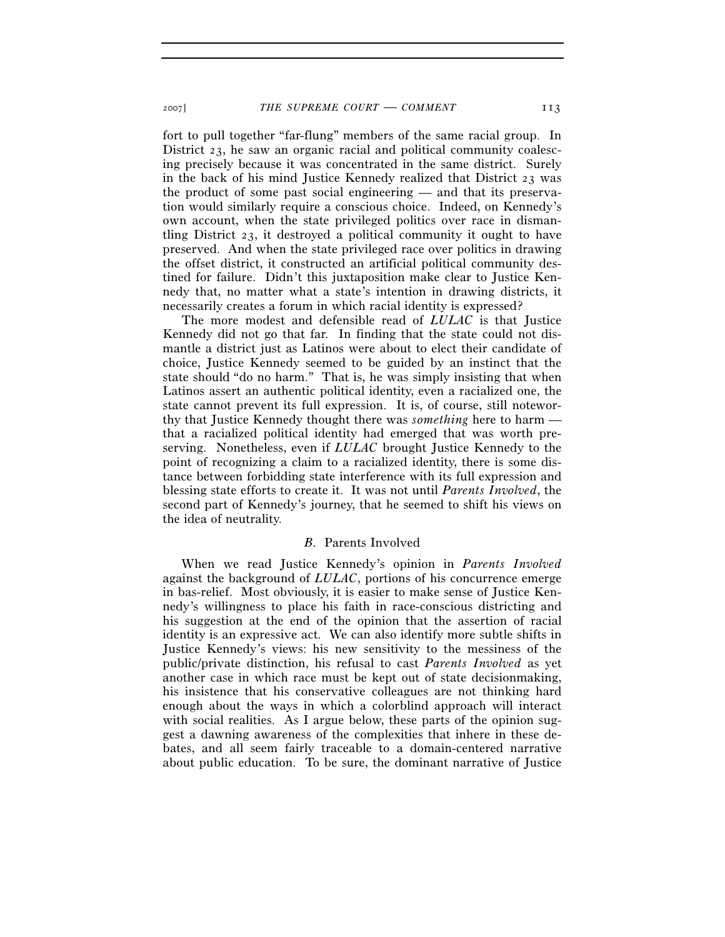fort to pull together "far-flung" members of the same racial group. In District 23, he saw an organic racial and political community coalescing precisely because it was concentrated in the same district. Surely in the back of his mind Justice Kennedy realized that District 23 was the product of some past social engineering — and that its preservation would similarly require a conscious choice. Indeed, on Kennedy's own account, when the state privileged politics over race in dismantling District 23, it destroyed a political community it ought to have preserved. And when the state privileged race over politics in drawing the offset district, it constructed an artificial political community destined for failure. Didn't this juxtaposition make clear to Justice Kennedy that, no matter what a state's intention in drawing districts, it necessarily creates a forum in which racial identity is expressed?

The more modest and defensible read of *LULAC* is that Justice Kennedy did not go that far. In finding that the state could not dismantle a district just as Latinos were about to elect their candidate of choice, Justice Kennedy seemed to be guided by an instinct that the state should "do no harm." That is, he was simply insisting that when Latinos assert an authentic political identity, even a racialized one, the state cannot prevent its full expression. It is, of course, still noteworthy that Justice Kennedy thought there was *something* here to harm that a racialized political identity had emerged that was worth preserving. Nonetheless, even if *LULAC* brought Justice Kennedy to the point of recognizing a claim to a racialized identity, there is some distance between forbidding state interference with its full expression and blessing state efforts to create it. It was not until *Parents Involved*, the second part of Kennedy's journey, that he seemed to shift his views on the idea of neutrality.

### *B.* Parents Involved

When we read Justice Kennedy's opinion in *Parents Involved* against the background of *LULAC*, portions of his concurrence emerge in bas-relief. Most obviously, it is easier to make sense of Justice Kennedy's willingness to place his faith in race-conscious districting and his suggestion at the end of the opinion that the assertion of racial identity is an expressive act. We can also identify more subtle shifts in Justice Kennedy's views: his new sensitivity to the messiness of the public/private distinction, his refusal to cast *Parents Involved* as yet another case in which race must be kept out of state decisionmaking, his insistence that his conservative colleagues are not thinking hard enough about the ways in which a colorblind approach will interact with social realities. As I argue below, these parts of the opinion suggest a dawning awareness of the complexities that inhere in these debates, and all seem fairly traceable to a domain-centered narrative about public education. To be sure, the dominant narrative of Justice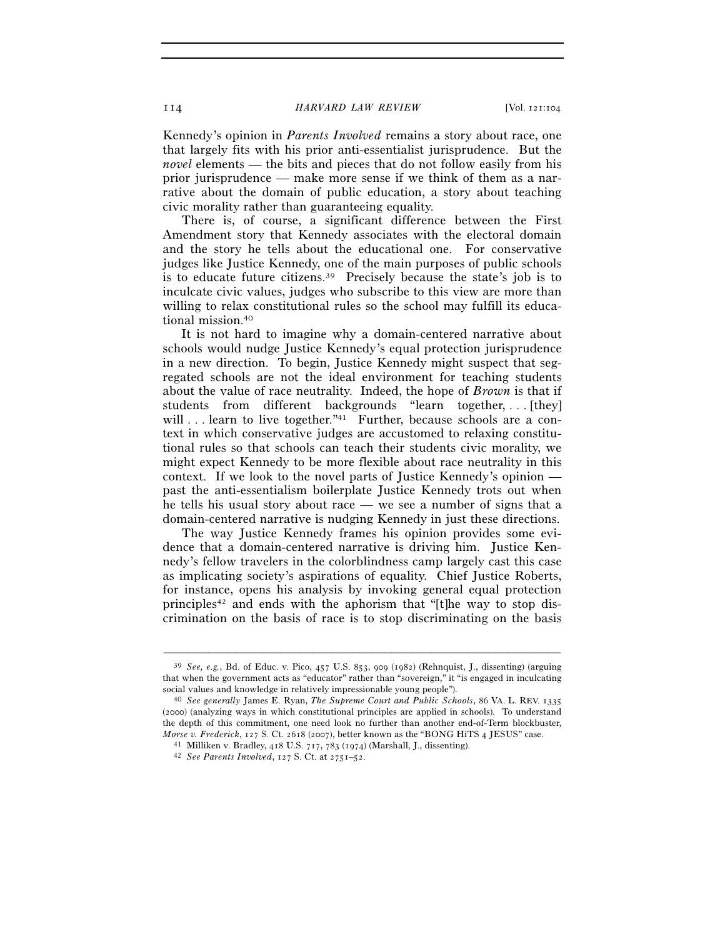Kennedy's opinion in *Parents Involved* remains a story about race, one that largely fits with his prior anti-essentialist jurisprudence. But the *novel* elements — the bits and pieces that do not follow easily from his prior jurisprudence — make more sense if we think of them as a narrative about the domain of public education, a story about teaching civic morality rather than guaranteeing equality.

There is, of course, a significant difference between the First Amendment story that Kennedy associates with the electoral domain and the story he tells about the educational one. For conservative judges like Justice Kennedy, one of the main purposes of public schools is to educate future citizens.39 Precisely because the state's job is to inculcate civic values, judges who subscribe to this view are more than willing to relax constitutional rules so the school may fulfill its educational mission.40

It is not hard to imagine why a domain-centered narrative about schools would nudge Justice Kennedy's equal protection jurisprudence in a new direction. To begin, Justice Kennedy might suspect that segregated schools are not the ideal environment for teaching students about the value of race neutrality. Indeed, the hope of *Brown* is that if students from different backgrounds "learn together, . . . [they] will . . . learn to live together.<sup>"41</sup> Further, because schools are a context in which conservative judges are accustomed to relaxing constitutional rules so that schools can teach their students civic morality, we might expect Kennedy to be more flexible about race neutrality in this context. If we look to the novel parts of Justice Kennedy's opinion past the anti-essentialism boilerplate Justice Kennedy trots out when he tells his usual story about race — we see a number of signs that a domain-centered narrative is nudging Kennedy in just these directions.

The way Justice Kennedy frames his opinion provides some evidence that a domain-centered narrative is driving him. Justice Kennedy's fellow travelers in the colorblindness camp largely cast this case as implicating society's aspirations of equality. Chief Justice Roberts, for instance, opens his analysis by invoking general equal protection principles<sup>42</sup> and ends with the aphorism that " $[t]$ he way to stop discrimination on the basis of race is to stop discriminating on the basis

<sup>39</sup> *See, e.g.*, Bd. of Educ. v. Pico, 457 U.S. 853, 909 (1982) (Rehnquist, J., dissenting) (arguing that when the government acts as "educator" rather than "sovereign," it "is engaged in inculcating social values and knowledge in relatively impressionable young people"). 40 *See generally* James E. Ryan, *The Supreme Court and Public Schools*, <sup>86</sup> VA. L. REV. <sup>1335</sup>

<sup>(</sup>2000) (analyzing ways in which constitutional principles are applied in schools). To understand the depth of this commitment, one need look no further than another end-of-Term blockbuster, *Morse v. Frederick*, 127 S. Ct. 2618 (2007), better known as the "BONG HiTS 4 JESUS" case.

<sup>41</sup> Milliken v. Bradley, 418 U.S. 717, 783 (1974) (Marshall, J., dissenting). 42 *See Parents Involved*, 127 S. Ct. at 2751–52.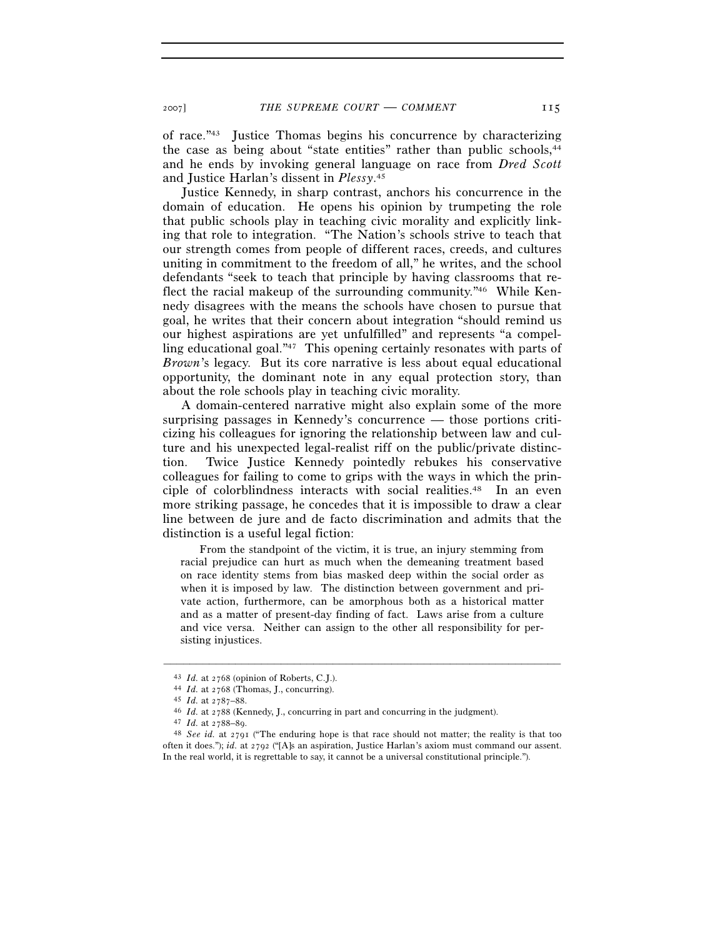of race."43 Justice Thomas begins his concurrence by characterizing the case as being about "state entities" rather than public schools,<sup>44</sup> and he ends by invoking general language on race from *Dred Scott* and Justice Harlan's dissent in *Plessy*. 45

Justice Kennedy, in sharp contrast, anchors his concurrence in the domain of education. He opens his opinion by trumpeting the role that public schools play in teaching civic morality and explicitly linking that role to integration. "The Nation's schools strive to teach that our strength comes from people of different races, creeds, and cultures uniting in commitment to the freedom of all," he writes, and the school defendants "seek to teach that principle by having classrooms that reflect the racial makeup of the surrounding community."46 While Kennedy disagrees with the means the schools have chosen to pursue that goal, he writes that their concern about integration "should remind us our highest aspirations are yet unfulfilled" and represents "a compelling educational goal."47 This opening certainly resonates with parts of *Brown*'s legacy. But its core narrative is less about equal educational opportunity, the dominant note in any equal protection story, than about the role schools play in teaching civic morality.

A domain-centered narrative might also explain some of the more surprising passages in Kennedy's concurrence — those portions criticizing his colleagues for ignoring the relationship between law and culture and his unexpected legal-realist riff on the public/private distinction. Twice Justice Kennedy pointedly rebukes his conservative colleagues for failing to come to grips with the ways in which the principle of colorblindness interacts with social realities.48 In an even more striking passage, he concedes that it is impossible to draw a clear line between de jure and de facto discrimination and admits that the distinction is a useful legal fiction:

 From the standpoint of the victim, it is true, an injury stemming from racial prejudice can hurt as much when the demeaning treatment based on race identity stems from bias masked deep within the social order as when it is imposed by law. The distinction between government and private action, furthermore, can be amorphous both as a historical matter and as a matter of present-day finding of fact. Laws arise from a culture and vice versa. Neither can assign to the other all responsibility for persisting injustices.

<sup>&</sup>lt;sup>43</sup> *Id.* at 2768 (opinion of Roberts, C.J.).<br><sup>44</sup> *Id.* at 2768 (Thomas, J., concurring).<br><sup>45</sup> *Id.* at 2787–88.<br><sup>46</sup> *Id.* at 2788 (Kennedy, J., concurring in part and concurring in the judgment).<br><sup>47</sup> *Id.* at 2788–89

often it does."); *id.* at 2792 ("[A]s an aspiration, Justice Harlan's axiom must command our assent. In the real world, it is regrettable to say, it cannot be a universal constitutional principle.").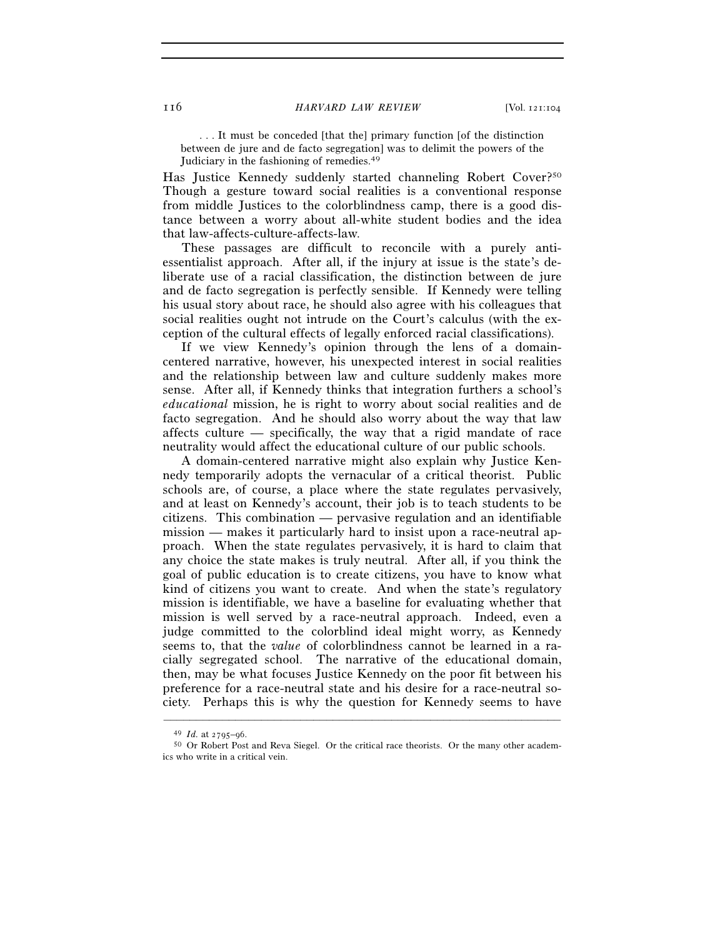. . . It must be conceded [that the] primary function [of the distinction between de jure and de facto segregation] was to delimit the powers of the Judiciary in the fashioning of remedies.49

Has Justice Kennedy suddenly started channeling Robert Cover?50 Though a gesture toward social realities is a conventional response from middle Justices to the colorblindness camp, there is a good distance between a worry about all-white student bodies and the idea that law-affects-culture-affects-law.

These passages are difficult to reconcile with a purely antiessentialist approach. After all, if the injury at issue is the state's deliberate use of a racial classification, the distinction between de jure and de facto segregation is perfectly sensible. If Kennedy were telling his usual story about race, he should also agree with his colleagues that social realities ought not intrude on the Court's calculus (with the exception of the cultural effects of legally enforced racial classifications).

If we view Kennedy's opinion through the lens of a domaincentered narrative, however, his unexpected interest in social realities and the relationship between law and culture suddenly makes more sense. After all, if Kennedy thinks that integration furthers a school's *educational* mission, he is right to worry about social realities and de facto segregation. And he should also worry about the way that law affects culture — specifically, the way that a rigid mandate of race neutrality would affect the educational culture of our public schools.

A domain-centered narrative might also explain why Justice Kennedy temporarily adopts the vernacular of a critical theorist. Public schools are, of course, a place where the state regulates pervasively, and at least on Kennedy's account, their job is to teach students to be citizens. This combination — pervasive regulation and an identifiable mission — makes it particularly hard to insist upon a race-neutral approach. When the state regulates pervasively, it is hard to claim that any choice the state makes is truly neutral. After all, if you think the goal of public education is to create citizens, you have to know what kind of citizens you want to create. And when the state's regulatory mission is identifiable, we have a baseline for evaluating whether that mission is well served by a race-neutral approach. Indeed, even a judge committed to the colorblind ideal might worry, as Kennedy seems to, that the *value* of colorblindness cannot be learned in a racially segregated school. The narrative of the educational domain, then, may be what focuses Justice Kennedy on the poor fit between his preference for a race-neutral state and his desire for a race-neutral society. Perhaps this is why the question for Kennedy seems to have

<sup>&</sup>lt;sup>49</sup> *Id.* at 2795–96.<br><sup>50</sup> Or Robert Post and Reva Siegel. Or the critical race theorists. Or the many other academics who write in a critical vein.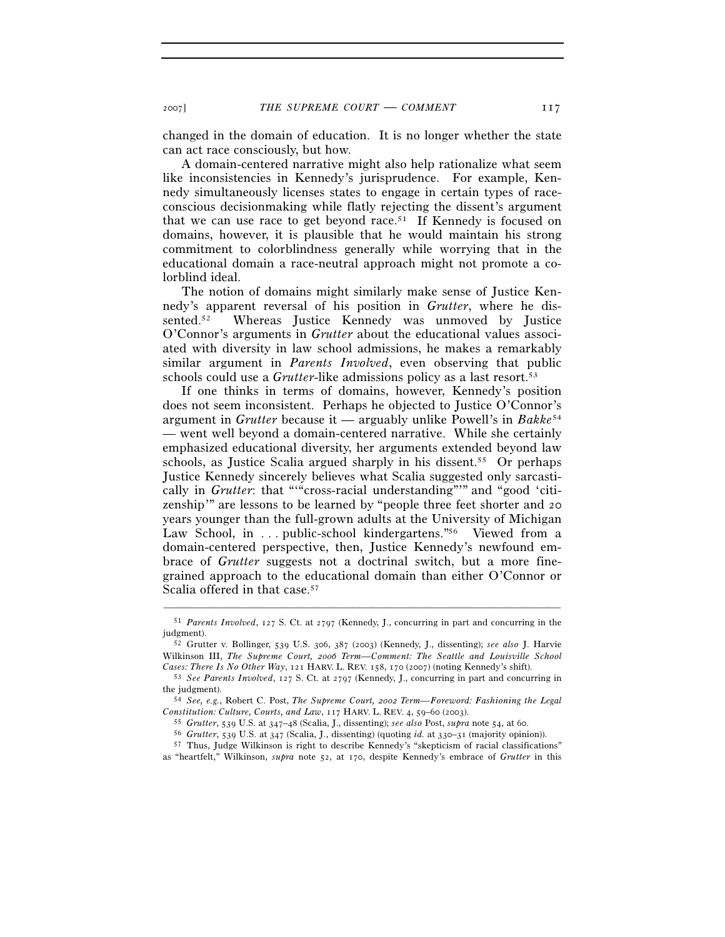changed in the domain of education. It is no longer whether the state can act race consciously, but how.

A domain-centered narrative might also help rationalize what seem like inconsistencies in Kennedy's jurisprudence. For example, Kennedy simultaneously licenses states to engage in certain types of raceconscious decisionmaking while flatly rejecting the dissent's argument that we can use race to get beyond race.<sup>51</sup> If Kennedy is focused on domains, however, it is plausible that he would maintain his strong commitment to colorblindness generally while worrying that in the educational domain a race-neutral approach might not promote a colorblind ideal.

The notion of domains might similarly make sense of Justice Kennedy's apparent reversal of his position in *Grutter*, where he dissented.52 Whereas Justice Kennedy was unmoved by Justice O'Connor's arguments in *Grutter* about the educational values associated with diversity in law school admissions, he makes a remarkably similar argument in *Parents Involved*, even observing that public schools could use a *Grutter*-like admissions policy as a last resort.<sup>53</sup>

If one thinks in terms of domains, however, Kennedy's position does not seem inconsistent. Perhaps he objected to Justice O'Connor's argument in *Grutter* because it — arguably unlike Powell's in *Bakke*<sup>54</sup> — went well beyond a domain-centered narrative. While she certainly emphasized educational diversity, her arguments extended beyond law schools, as Justice Scalia argued sharply in his dissent.<sup>55</sup> Or perhaps Justice Kennedy sincerely believes what Scalia suggested only sarcastically in *Grutter*: that "'"cross-racial understanding"'" and "good 'citizenship'" are lessons to be learned by "people three feet shorter and 20 years younger than the full-grown adults at the University of Michigan Law School, in ... public-school kindergartens."<sup>56</sup> Viewed from a domain-centered perspective, then, Justice Kennedy's newfound embrace of *Grutter* suggests not a doctrinal switch, but a more finegrained approach to the educational domain than either O'Connor or Scalia offered in that case.<sup>57</sup>

<sup>–––––––––––––––––––––––––––––––––––––––––––––––––––––––––––––</sup> 51 *Parents Involved*, 127 S. Ct. at 2797 (Kennedy, J., concurring in part and concurring in the judgment). 52 Grutter v. Bollinger, 539 U.S. 306, 387 (2003) (Kennedy, J., dissenting); *see also* J. Harvie

Wilkinson III, *The Supreme Court, 2006 Term—Comment: The Seattle and Louisville School* 

*Cases: There Is No Other Way*, 121 HARV. L. REV. 158, 170 (2007) (noting Kennedy's shift). 53 *See Parents Involved*, 127 S. Ct. at 2797 (Kennedy, J., concurring in part and concurring in the judgment). 54 *See, e.g.*, Robert C. Post, *The Supreme Court, 2002 Term—Foreword: Fashioning the Legal* 

Constitution: Culture, Courts, and Law,  $117$  HARV. L. REV. 4, 59–60 (2003).<br><sup>55</sup> Grutter, 539 U.S. at 347–48 (Scalia, J., dissenting); *see also* Post, *supra* note 54, at 60.<br><sup>56</sup> Grutter, 539 U.S. at 347 (Scalia, J., d

as "heartfelt," Wilkinson, *supra* note 52, at 170, despite Kennedy's embrace of *Grutter* in this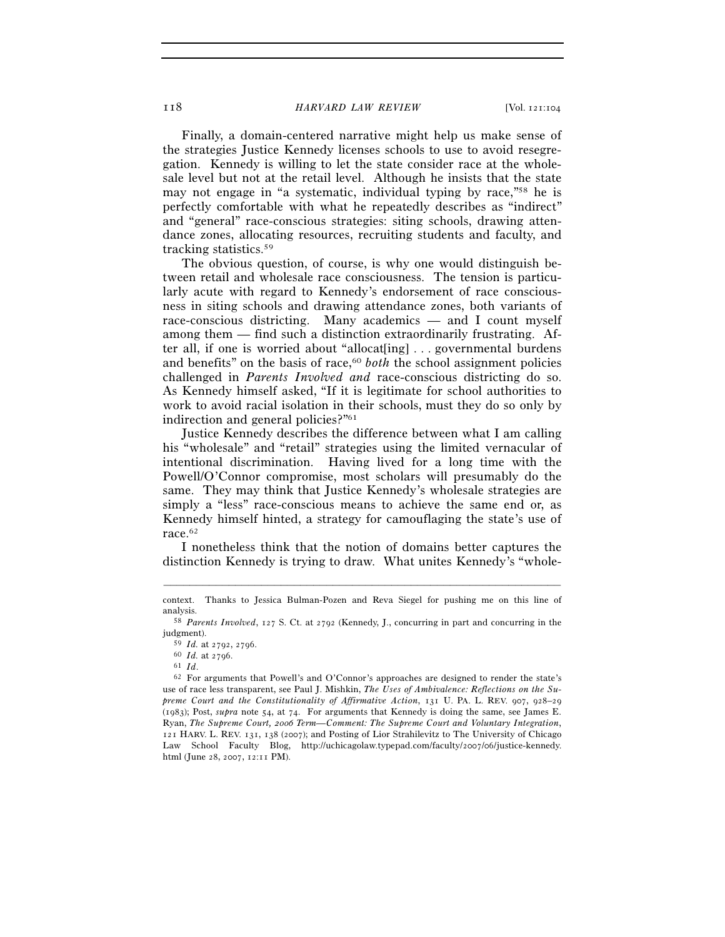Finally, a domain-centered narrative might help us make sense of the strategies Justice Kennedy licenses schools to use to avoid resegregation. Kennedy is willing to let the state consider race at the wholesale level but not at the retail level. Although he insists that the state may not engage in "a systematic, individual typing by race,"58 he is perfectly comfortable with what he repeatedly describes as "indirect" and "general" race-conscious strategies: siting schools, drawing attendance zones, allocating resources, recruiting students and faculty, and tracking statistics.59

The obvious question, of course, is why one would distinguish between retail and wholesale race consciousness. The tension is particularly acute with regard to Kennedy's endorsement of race consciousness in siting schools and drawing attendance zones, both variants of race-conscious districting. Many academics — and I count myself among them — find such a distinction extraordinarily frustrating. After all, if one is worried about "allocat[ing] . . . governmental burdens and benefits" on the basis of race,<sup>60</sup> *both* the school assignment policies challenged in *Parents Involved and* race-conscious districting do so. As Kennedy himself asked, "If it is legitimate for school authorities to work to avoid racial isolation in their schools, must they do so only by indirection and general policies?"61

Justice Kennedy describes the difference between what I am calling his "wholesale" and "retail" strategies using the limited vernacular of intentional discrimination. Having lived for a long time with the Powell/O'Connor compromise, most scholars will presumably do the same. They may think that Justice Kennedy's wholesale strategies are simply a "less" race-conscious means to achieve the same end or, as Kennedy himself hinted, a strategy for camouflaging the state's use of race.62

I nonetheless think that the notion of domains better captures the distinction Kennedy is trying to draw. What unites Kennedy's "whole-

<sup>–––––––––––––––––––––––––––––––––––––––––––––––––––––––––––––</sup> context. Thanks to Jessica Bulman-Pozen and Reva Siegel for pushing me on this line of analysis. 58 *Parents Involved*, 127 S. Ct. at 2792 (Kennedy, J., concurring in part and concurring in the

judgment).<br> $59$  *Id.* at  $2792$ ,  $2796$ .

<sup>50</sup> *Id.* at 2796.<br>
<sup>61</sup> *Id. ID. Por arguments that Powell's and O'Connor's approaches are designed to render the state's* use of race less transparent, see Paul J. Mishkin, *The Uses of Ambivalence: Reflections on the Supreme Court and the Constitutionality of Affirmative Action*, 131 U. PA. L. REV. 907, 928–29 (1983); Post, *supra* note 54, at 74. For arguments that Kennedy is doing the same, see James E. Ryan, *The Supreme Court, 2006 Term—Comment: The Supreme Court and Voluntary Integration*, 121 HARV. L. REV. 131, 138 (2007); and Posting of Lior Strahilevitz to The University of Chicago Law School Faculty Blog, http://uchicagolaw.typepad.com/faculty/2007/06/justice-kennedy. html (June 28, 2007, 12:11 PM).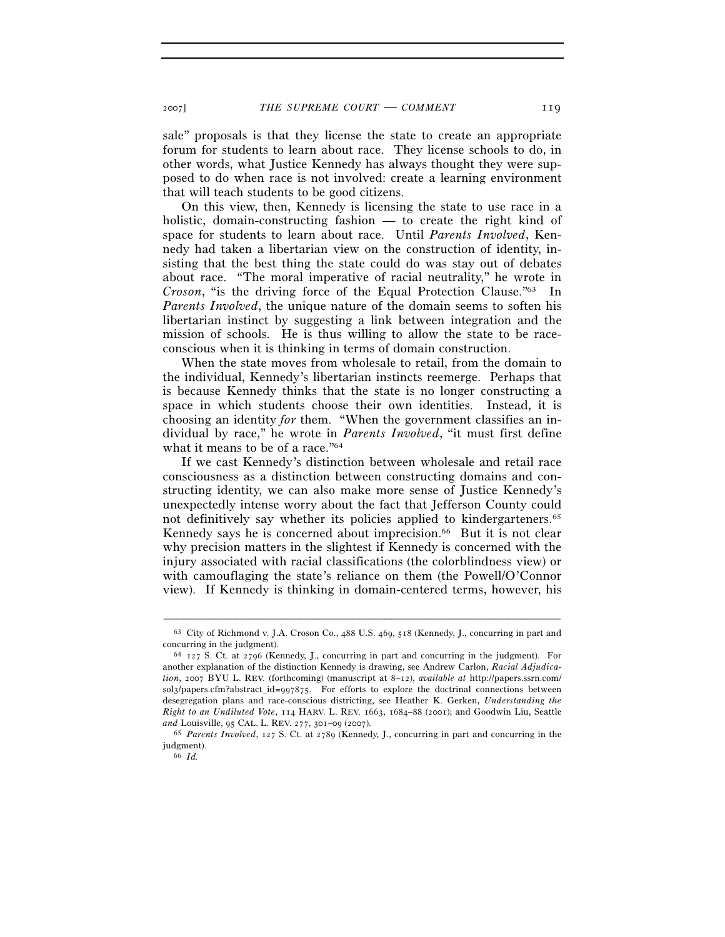sale" proposals is that they license the state to create an appropriate forum for students to learn about race. They license schools to do, in other words, what Justice Kennedy has always thought they were supposed to do when race is not involved: create a learning environment that will teach students to be good citizens.

On this view, then, Kennedy is licensing the state to use race in a holistic, domain-constructing fashion — to create the right kind of space for students to learn about race. Until *Parents Involved*, Kennedy had taken a libertarian view on the construction of identity, insisting that the best thing the state could do was stay out of debates about race. "The moral imperative of racial neutrality," he wrote in *Croson*, "is the driving force of the Equal Protection Clause."63 In *Parents Involved*, the unique nature of the domain seems to soften his libertarian instinct by suggesting a link between integration and the mission of schools. He is thus willing to allow the state to be raceconscious when it is thinking in terms of domain construction.

When the state moves from wholesale to retail, from the domain to the individual, Kennedy's libertarian instincts reemerge. Perhaps that is because Kennedy thinks that the state is no longer constructing a space in which students choose their own identities. Instead, it is choosing an identity *for* them. "When the government classifies an individual by race," he wrote in *Parents Involved*, "it must first define what it means to be of a race."64

If we cast Kennedy's distinction between wholesale and retail race consciousness as a distinction between constructing domains and constructing identity, we can also make more sense of Justice Kennedy's unexpectedly intense worry about the fact that Jefferson County could not definitively say whether its policies applied to kindergarteners.65 Kennedy says he is concerned about imprecision.<sup>66</sup> But it is not clear why precision matters in the slightest if Kennedy is concerned with the injury associated with racial classifications (the colorblindness view) or with camouflaging the state's reliance on them (the Powell/O'Connor view). If Kennedy is thinking in domain-centered terms, however, his

<sup>–––––––––––––––––––––––––––––––––––––––––––––––––––––––––––––</sup> 63 City of Richmond v. J.A. Croson Co., 488 U.S. 469, 518 (Kennedy, J., concurring in part and concurring in the judgment).<br><sup>64</sup> 127 S. Ct. at 2796 (Kennedy, J., concurring in part and concurring in the judgment). For

another explanation of the distinction Kennedy is drawing, see Andrew Carlon, *Racial Adjudication*, 2007 BYU L. REV. (forthcoming) (manuscript at 8–12), *available at* http://papers.ssrn.com/ sol3/papers.cfm?abstract\_id=997875. For efforts to explore the doctrinal connections between desegregation plans and race-conscious districting, see Heather K. Gerken, *Understanding the Right to an Undiluted Vote*, 114 HARV. L. REV. 1663, 1684–88 (2001); and Goodwin Liu, Seattle

*and* Louisville, 95 CAL. L. REV. 277, 301–09 (2007). 65 *Parents Involved*, 127 S. Ct. at 2789 (Kennedy, J., concurring in part and concurring in the judgment). 66 *Id.*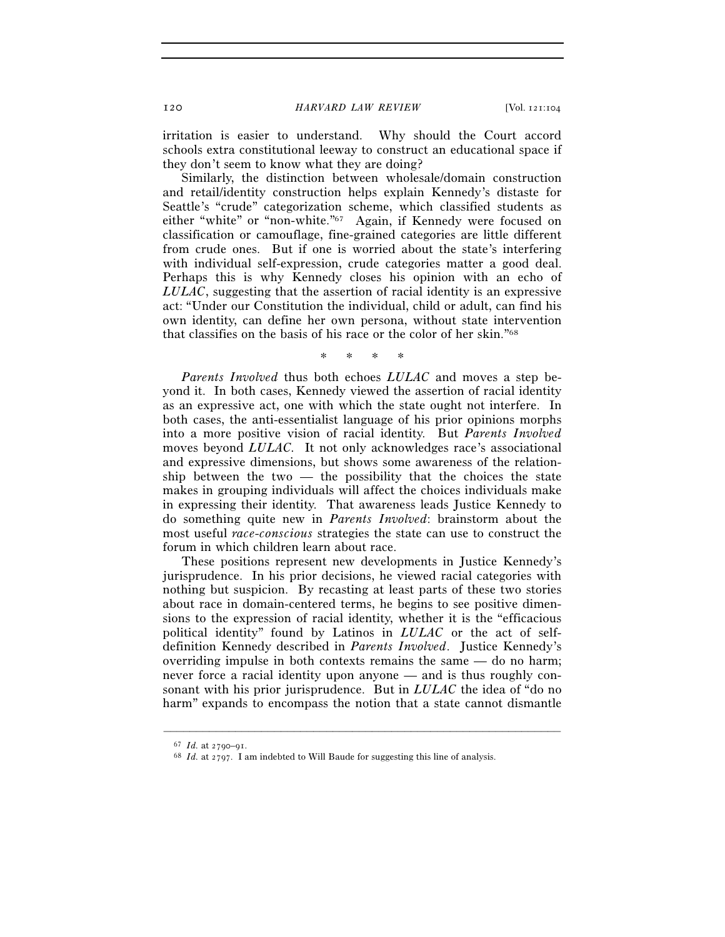irritation is easier to understand. Why should the Court accord schools extra constitutional leeway to construct an educational space if they don't seem to know what they are doing?

Similarly, the distinction between wholesale/domain construction and retail/identity construction helps explain Kennedy's distaste for Seattle's "crude" categorization scheme, which classified students as either "white" or "non-white."67 Again, if Kennedy were focused on classification or camouflage, fine-grained categories are little different from crude ones. But if one is worried about the state's interfering with individual self-expression, crude categories matter a good deal. Perhaps this is why Kennedy closes his opinion with an echo of *LULAC*, suggesting that the assertion of racial identity is an expressive act: "Under our Constitution the individual, child or adult, can find his own identity, can define her own persona, without state intervention that classifies on the basis of his race or the color of her skin."68

\* \* \* \*

*Parents Involved* thus both echoes *LULAC* and moves a step beyond it. In both cases, Kennedy viewed the assertion of racial identity as an expressive act, one with which the state ought not interfere. In both cases, the anti-essentialist language of his prior opinions morphs into a more positive vision of racial identity. But *Parents Involved* moves beyond *LULAC.* It not only acknowledges race's associational and expressive dimensions, but shows some awareness of the relationship between the two — the possibility that the choices the state makes in grouping individuals will affect the choices individuals make in expressing their identity. That awareness leads Justice Kennedy to do something quite new in *Parents Involved*: brainstorm about the most useful *race-conscious* strategies the state can use to construct the forum in which children learn about race.

These positions represent new developments in Justice Kennedy's jurisprudence. In his prior decisions, he viewed racial categories with nothing but suspicion. By recasting at least parts of these two stories about race in domain-centered terms, he begins to see positive dimensions to the expression of racial identity, whether it is the "efficacious political identity" found by Latinos in *LULAC* or the act of selfdefinition Kennedy described in *Parents Involved*. Justice Kennedy's overriding impulse in both contexts remains the same — do no harm; never force a racial identity upon anyone — and is thus roughly consonant with his prior jurisprudence. But in *LULAC* the idea of "do no harm" expands to encompass the notion that a state cannot dismantle

 $^{67}$   $Id.$  at 2790–91. <br>  $^{68}$   $Id.$  at 2797. <br>  $\,$  I am indebted to Will Baude for suggesting this line of analysis.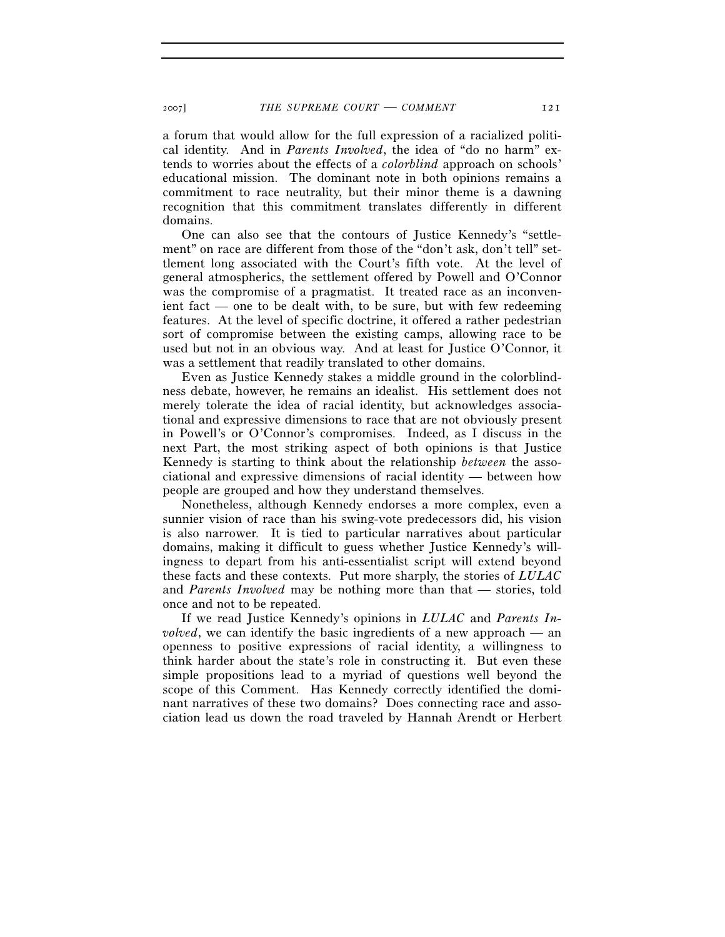a forum that would allow for the full expression of a racialized political identity. And in *Parents Involved*, the idea of "do no harm" extends to worries about the effects of a *colorblind* approach on schools' educational mission. The dominant note in both opinions remains a commitment to race neutrality, but their minor theme is a dawning recognition that this commitment translates differently in different domains.

One can also see that the contours of Justice Kennedy's "settlement" on race are different from those of the "don't ask, don't tell" settlement long associated with the Court's fifth vote. At the level of general atmospherics, the settlement offered by Powell and O'Connor was the compromise of a pragmatist. It treated race as an inconvenient fact — one to be dealt with, to be sure, but with few redeeming features. At the level of specific doctrine, it offered a rather pedestrian sort of compromise between the existing camps, allowing race to be used but not in an obvious way. And at least for Justice O'Connor, it was a settlement that readily translated to other domains.

Even as Justice Kennedy stakes a middle ground in the colorblindness debate, however, he remains an idealist. His settlement does not merely tolerate the idea of racial identity, but acknowledges associational and expressive dimensions to race that are not obviously present in Powell's or O'Connor's compromises. Indeed, as I discuss in the next Part, the most striking aspect of both opinions is that Justice Kennedy is starting to think about the relationship *between* the associational and expressive dimensions of racial identity — between how people are grouped and how they understand themselves.

Nonetheless, although Kennedy endorses a more complex, even a sunnier vision of race than his swing-vote predecessors did, his vision is also narrower. It is tied to particular narratives about particular domains, making it difficult to guess whether Justice Kennedy's willingness to depart from his anti-essentialist script will extend beyond these facts and these contexts. Put more sharply, the stories of *LULAC* and *Parents Involved* may be nothing more than that — stories, told once and not to be repeated.

If we read Justice Kennedy's opinions in *LULAC* and *Parents Involved*, we can identify the basic ingredients of a new approach — an openness to positive expressions of racial identity, a willingness to think harder about the state's role in constructing it. But even these simple propositions lead to a myriad of questions well beyond the scope of this Comment. Has Kennedy correctly identified the dominant narratives of these two domains? Does connecting race and association lead us down the road traveled by Hannah Arendt or Herbert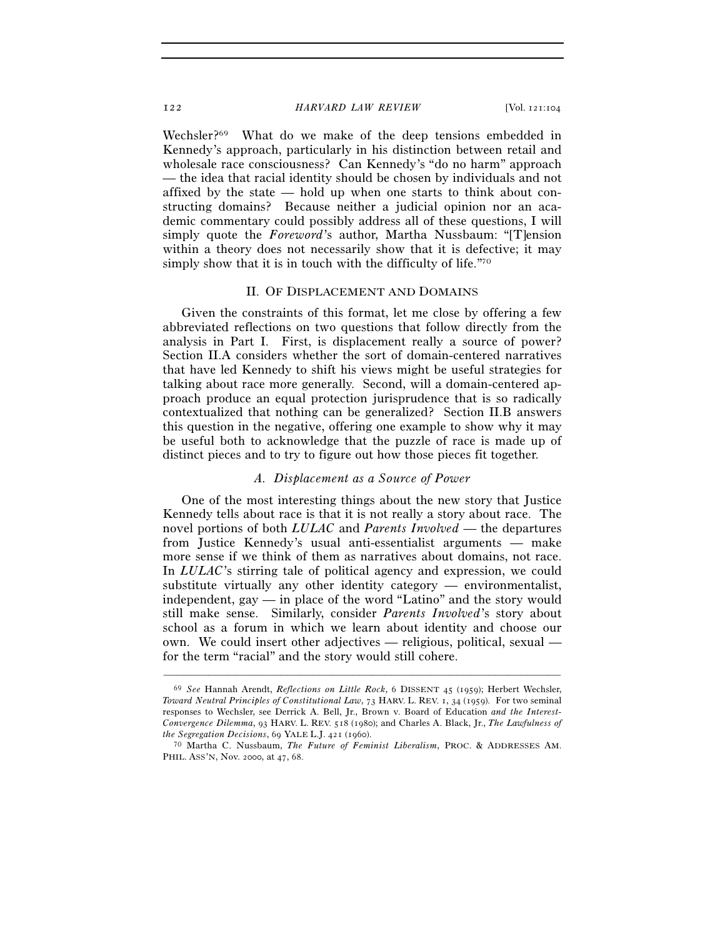Wechsler?69 What do we make of the deep tensions embedded in Kennedy's approach, particularly in his distinction between retail and wholesale race consciousness? Can Kennedy's "do no harm" approach — the idea that racial identity should be chosen by individuals and not affixed by the state — hold up when one starts to think about constructing domains? Because neither a judicial opinion nor an academic commentary could possibly address all of these questions, I will simply quote the *Foreword*'s author, Martha Nussbaum: "[T]ension within a theory does not necessarily show that it is defective; it may simply show that it is in touch with the difficulty of life."70

### II. OF DISPLACEMENT AND DOMAINS

Given the constraints of this format, let me close by offering a few abbreviated reflections on two questions that follow directly from the analysis in Part I. First, is displacement really a source of power? Section II.A considers whether the sort of domain-centered narratives that have led Kennedy to shift his views might be useful strategies for talking about race more generally. Second, will a domain-centered approach produce an equal protection jurisprudence that is so radically contextualized that nothing can be generalized? Section II.B answers this question in the negative, offering one example to show why it may be useful both to acknowledge that the puzzle of race is made up of distinct pieces and to try to figure out how those pieces fit together.

## *A. Displacement as a Source of Power*

One of the most interesting things about the new story that Justice Kennedy tells about race is that it is not really a story about race. The novel portions of both *LULAC* and *Parents Involved* — the departures from Justice Kennedy's usual anti-essentialist arguments — make more sense if we think of them as narratives about domains, not race. In *LULAC*'s stirring tale of political agency and expression, we could substitute virtually any other identity category — environmentalist, independent, gay — in place of the word "Latino" and the story would still make sense. Similarly, consider *Parents Involved*'s story about school as a forum in which we learn about identity and choose our own. We could insert other adjectives — religious, political, sexual for the term "racial" and the story would still cohere.

<sup>69</sup> *See* Hannah Arendt, *Reflections on Little Rock*, 6 DISSENT 45 (1959); Herbert Wechsler, *Toward Neutral Principles of Constitutional Law*, 73 HARV. L. REV. 1, 34 (1959). For two seminal responses to Wechsler, see Derrick A. Bell, Jr., Brown v. Board of Education *and the Interest-Convergence Dilemma*, 93 HARV. L. REV. 518 (1980); and Charles A. Black, Jr., *The Lawfulness of* 

<sup>&</sup>lt;sup>70</sup> Martha C. Nussbaum, *The Future of Feminist Liberalism*, PROC. & ADDRESSES AM. PHIL. ASS'N, Nov. 2000, at 47, 68.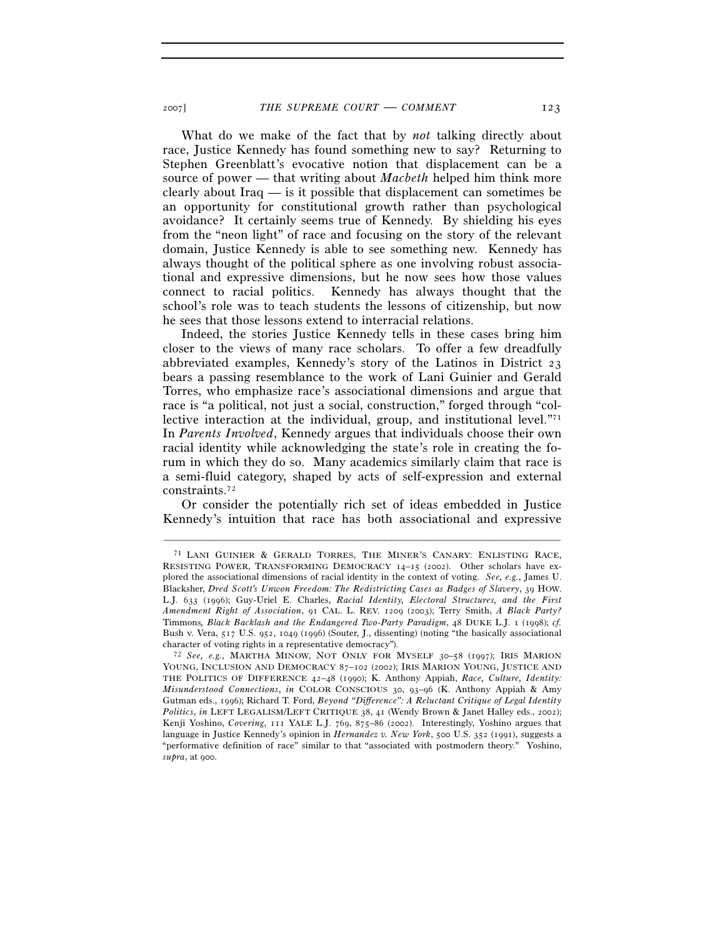What do we make of the fact that by *not* talking directly about race, Justice Kennedy has found something new to say? Returning to Stephen Greenblatt's evocative notion that displacement can be a source of power — that writing about *Macbeth* helped him think more clearly about Iraq — is it possible that displacement can sometimes be an opportunity for constitutional growth rather than psychological avoidance? It certainly seems true of Kennedy. By shielding his eyes from the "neon light" of race and focusing on the story of the relevant domain, Justice Kennedy is able to see something new. Kennedy has always thought of the political sphere as one involving robust associational and expressive dimensions, but he now sees how those values connect to racial politics. Kennedy has always thought that the school's role was to teach students the lessons of citizenship, but now he sees that those lessons extend to interracial relations.

Indeed, the stories Justice Kennedy tells in these cases bring him closer to the views of many race scholars. To offer a few dreadfully abbreviated examples, Kennedy's story of the Latinos in District 23 bears a passing resemblance to the work of Lani Guinier and Gerald Torres, who emphasize race's associational dimensions and argue that race is "a political, not just a social, construction," forged through "collective interaction at the individual, group, and institutional level."71 In *Parents Involved*, Kennedy argues that individuals choose their own racial identity while acknowledging the state's role in creating the forum in which they do so. Many academics similarly claim that race is a semi-fluid category, shaped by acts of self-expression and external constraints.72

Or consider the potentially rich set of ideas embedded in Justice Kennedy's intuition that race has both associational and expressive

<sup>71</sup> LANI GUINIER & GERALD TORRES, THE MINER'S CANARY: ENLISTING RACE, RESISTING POWER, TRANSFORMING DEMOCRACY 14–15 (2002). Other scholars have explored the associational dimensions of racial identity in the context of voting. *See, e.g.*, James U. Blacksher, *Dred Scott's Unwon Freedom: The Redistricting Cases as Badges of Slavery*, 39 HOW. L.J. 633 (1996); Guy-Uriel E. Charles, *Racial Identity, Electoral Structures, and the First Amendment Right of Association*, 91 CAL. L. REV. 1209 (2003); Terry Smith, *A Black Party?*  Timmons*, Black Backlash and the Endangered Two-Party Paradigm*, 48 DUKE L.J. 1 (1998); *cf.* Bush v. Vera, 517 U.S. 952, 1049 (1996) (Souter, J., dissenting) (noting "the basically associational character of voting rights in a representative democracy"). 72 *See, e.g.*, MARTHA MINOW, NOT ONLY FOR MYSELF <sup>30</sup>–<sup>58</sup> (1997); IRIS MARION

YOUNG, INCLUSION AND DEMOCRACY 87–102 (2002); IRIS MARION YOUNG, JUSTICE AND THE POLITICS OF DIFFERENCE 42–48 (1990); K. Anthony Appiah, *Race, Culture, Identity: Misunderstood Connections*, *in* COLOR CONSCIOUS 30, 93–96 (K. Anthony Appiah & Amy Gutman eds., 1996); Richard T. Ford, *Beyond "Difference": A Reluctant Critique of Legal Identity Politics*, *in* LEFT LEGALISM/LEFT CRITIQUE 38, 41 (Wendy Brown & Janet Halley eds., 2002); Kenji Yoshino, *Covering*, 111 YALE L.J. 769, 875–86 (2002). Interestingly, Yoshino argues that language in Justice Kennedy's opinion in *Hernandez v. New York*, 500 U.S. 352 (1991), suggests a "performative definition of race" similar to that "associated with postmodern theory." Yoshino, *supra*, at 900.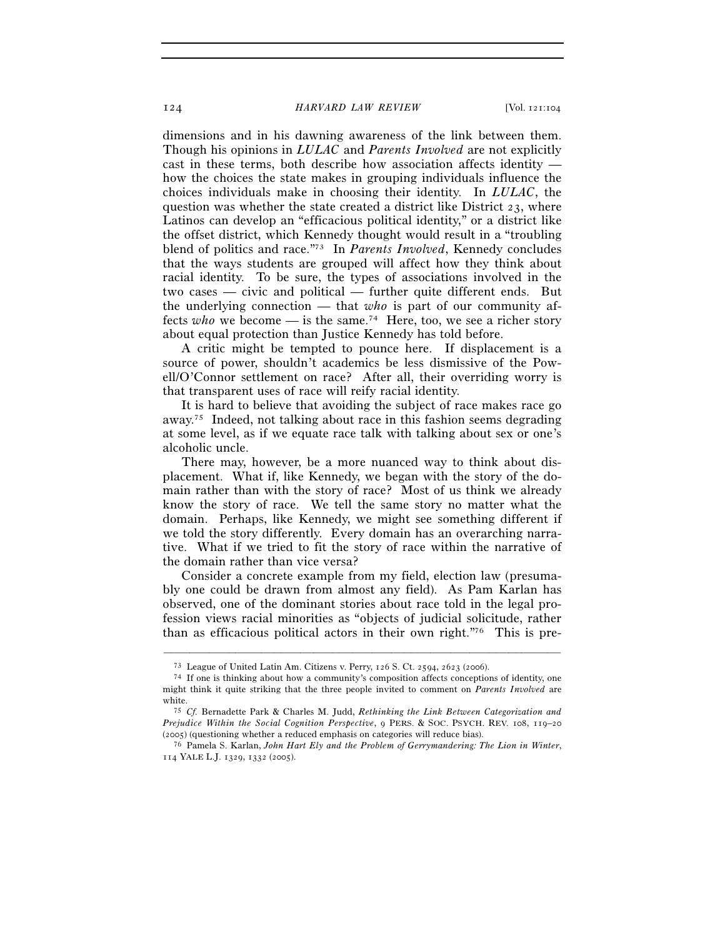dimensions and in his dawning awareness of the link between them. Though his opinions in *LULAC* and *Parents Involved* are not explicitly cast in these terms, both describe how association affects identity how the choices the state makes in grouping individuals influence the choices individuals make in choosing their identity. In *LULAC*, the question was whether the state created a district like District 23, where Latinos can develop an "efficacious political identity," or a district like the offset district, which Kennedy thought would result in a "troubling blend of politics and race."73 In *Parents Involved*, Kennedy concludes that the ways students are grouped will affect how they think about racial identity. To be sure, the types of associations involved in the two cases — civic and political — further quite different ends. But the underlying connection — that *who* is part of our community affects  $who$  we become — is the same.<sup>74</sup> Here, too, we see a richer story about equal protection than Justice Kennedy has told before.

A critic might be tempted to pounce here. If displacement is a source of power, shouldn't academics be less dismissive of the Powell/O'Connor settlement on race? After all, their overriding worry is that transparent uses of race will reify racial identity.

It is hard to believe that avoiding the subject of race makes race go away.75 Indeed, not talking about race in this fashion seems degrading at some level, as if we equate race talk with talking about sex or one's alcoholic uncle.

There may, however, be a more nuanced way to think about displacement. What if, like Kennedy, we began with the story of the domain rather than with the story of race? Most of us think we already know the story of race. We tell the same story no matter what the domain. Perhaps, like Kennedy, we might see something different if we told the story differently. Every domain has an overarching narrative. What if we tried to fit the story of race within the narrative of the domain rather than vice versa?

Consider a concrete example from my field, election law (presumably one could be drawn from almost any field). As Pam Karlan has observed, one of the dominant stories about race told in the legal profession views racial minorities as "objects of judicial solicitude, rather than as efficacious political actors in their own right."76 This is pre-

<sup>&</sup>lt;sup>73</sup> League of United Latin Am. Citizens v. Perry, 126 S. Ct. 2594, 2623 (2006).<br><sup>74</sup> If one is thinking about how a community's composition affects conceptions of identity, one might think it quite striking that the three people invited to comment on *Parents Involved* are white.<br><sup>75</sup> *Cf.* Bernadette Park & Charles M. Judd, *Rethinking the Link Between Categorization and* 

*Prejudice Within the Social Cognition Perspective*, 9 PERS. & SOC. PSYCH. REV. 108, 119–20 (2005) (questioning whether a reduced emphasis on categories will reduce bias).

<sup>&</sup>lt;sup>76</sup> Pamela S. Karlan, *John Hart Ely and the Problem of Gerrymandering: The Lion in Winter*, 114 YALE L.J. 1329, 1332 (2005).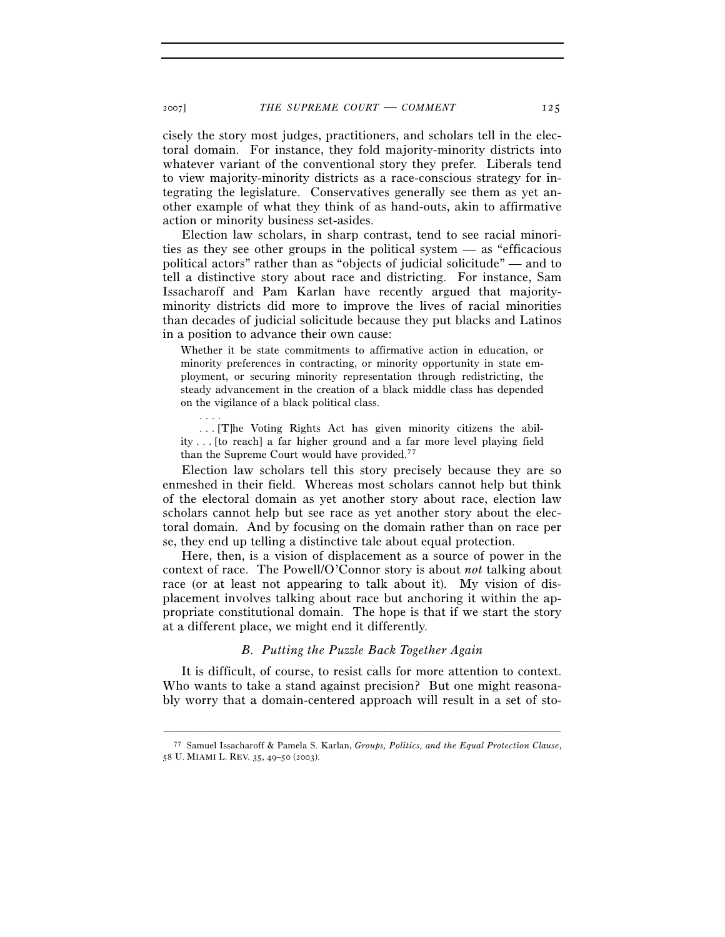cisely the story most judges, practitioners, and scholars tell in the electoral domain. For instance, they fold majority-minority districts into whatever variant of the conventional story they prefer. Liberals tend to view majority-minority districts as a race-conscious strategy for integrating the legislature. Conservatives generally see them as yet another example of what they think of as hand-outs, akin to affirmative action or minority business set-asides.

Election law scholars, in sharp contrast, tend to see racial minorities as they see other groups in the political system — as "efficacious political actors" rather than as "objects of judicial solicitude" — and to tell a distinctive story about race and districting. For instance, Sam Issacharoff and Pam Karlan have recently argued that majorityminority districts did more to improve the lives of racial minorities than decades of judicial solicitude because they put blacks and Latinos in a position to advance their own cause:

Whether it be state commitments to affirmative action in education, or minority preferences in contracting, or minority opportunity in state employment, or securing minority representation through redistricting, the steady advancement in the creation of a black middle class has depended on the vigilance of a black political class.

 . . . . . . . [T]he Voting Rights Act has given minority citizens the ability . . . [to reach] a far higher ground and a far more level playing field than the Supreme Court would have provided.77

Election law scholars tell this story precisely because they are so enmeshed in their field. Whereas most scholars cannot help but think of the electoral domain as yet another story about race, election law scholars cannot help but see race as yet another story about the electoral domain. And by focusing on the domain rather than on race per se, they end up telling a distinctive tale about equal protection.

Here, then, is a vision of displacement as a source of power in the context of race. The Powell/O'Connor story is about *not* talking about race (or at least not appearing to talk about it). My vision of displacement involves talking about race but anchoring it within the appropriate constitutional domain. The hope is that if we start the story at a different place, we might end it differently.

## *B. Putting the Puzzle Back Together Again*

It is difficult, of course, to resist calls for more attention to context. Who wants to take a stand against precision? But one might reasonably worry that a domain-centered approach will result in a set of sto-

<sup>–––––––––––––––––––––––––––––––––––––––––––––––––––––––––––––</sup> 77 Samuel Issacharoff & Pamela S. Karlan, *Groups, Politics, and the Equal Protection Clause*, 58 U. MIAMI L. REV. 35, 49–50 (2003).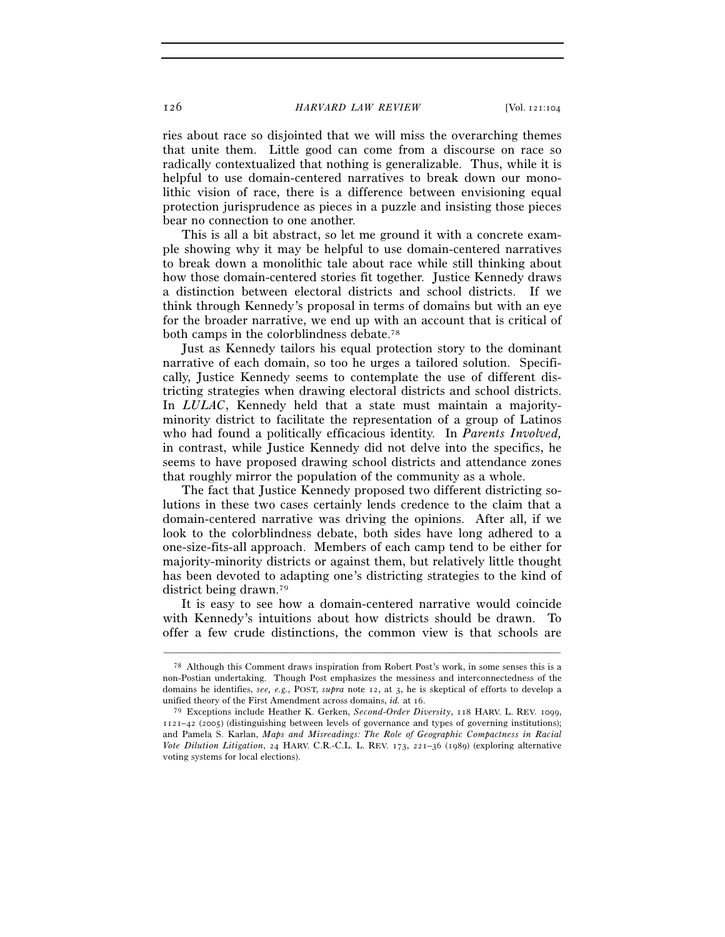ries about race so disjointed that we will miss the overarching themes that unite them. Little good can come from a discourse on race so radically contextualized that nothing is generalizable. Thus, while it is helpful to use domain-centered narratives to break down our monolithic vision of race, there is a difference between envisioning equal protection jurisprudence as pieces in a puzzle and insisting those pieces bear no connection to one another.

This is all a bit abstract, so let me ground it with a concrete example showing why it may be helpful to use domain-centered narratives to break down a monolithic tale about race while still thinking about how those domain-centered stories fit together. Justice Kennedy draws a distinction between electoral districts and school districts. If we think through Kennedy's proposal in terms of domains but with an eye for the broader narrative, we end up with an account that is critical of both camps in the colorblindness debate.78

Just as Kennedy tailors his equal protection story to the dominant narrative of each domain, so too he urges a tailored solution. Specifically, Justice Kennedy seems to contemplate the use of different districting strategies when drawing electoral districts and school districts. In *LULAC*, Kennedy held that a state must maintain a majorityminority district to facilitate the representation of a group of Latinos who had found a politically efficacious identity. In *Parents Involved,* in contrast, while Justice Kennedy did not delve into the specifics, he seems to have proposed drawing school districts and attendance zones that roughly mirror the population of the community as a whole.

The fact that Justice Kennedy proposed two different districting solutions in these two cases certainly lends credence to the claim that a domain-centered narrative was driving the opinions. After all, if we look to the colorblindness debate, both sides have long adhered to a one-size-fits-all approach. Members of each camp tend to be either for majority-minority districts or against them, but relatively little thought has been devoted to adapting one's districting strategies to the kind of district being drawn.79

It is easy to see how a domain-centered narrative would coincide with Kennedy's intuitions about how districts should be drawn. To offer a few crude distinctions, the common view is that schools are

<sup>78</sup> Although this Comment draws inspiration from Robert Post's work, in some senses this is a non-Postian undertaking. Though Post emphasizes the messiness and interconnectedness of the domains he identifies, *see, e.g.*, POST, *supra* note 12, at 3, he is skeptical of efforts to develop a unified theory of the First Amendment across domains, *id.* at 16.

unified theory of the First Amendment across domains, *id.* at 16. 79 Exceptions include Heather K. Gerken, *Second-Order Diversity*, 118 HARV. L. REV. 1099, 1121–42 (2005) (distinguishing between levels of governance and types of governing institutions); and Pamela S. Karlan, *Maps and Misreadings: The Role of Geographic Compactness in Racial Vote Dilution Litigation*, 24 HARV. C.R.-C.L. L. REV. 173, 221–36 (1989) (exploring alternative voting systems for local elections).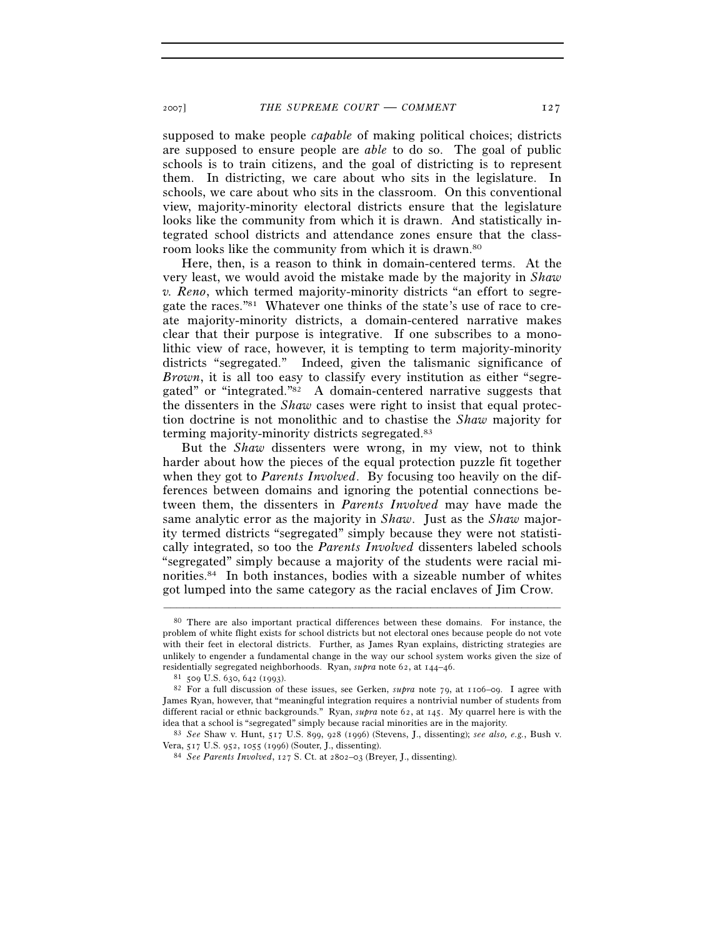supposed to make people *capable* of making political choices; districts are supposed to ensure people are *able* to do so. The goal of public schools is to train citizens, and the goal of districting is to represent them. In districting, we care about who sits in the legislature. In schools, we care about who sits in the classroom. On this conventional view, majority-minority electoral districts ensure that the legislature looks like the community from which it is drawn. And statistically integrated school districts and attendance zones ensure that the classroom looks like the community from which it is drawn.<sup>80</sup>

Here, then, is a reason to think in domain-centered terms. At the very least, we would avoid the mistake made by the majority in *Shaw v. Reno*, which termed majority-minority districts "an effort to segregate the races."81 Whatever one thinks of the state's use of race to create majority-minority districts, a domain-centered narrative makes clear that their purpose is integrative. If one subscribes to a monolithic view of race, however, it is tempting to term majority-minority districts "segregated." Indeed, given the talismanic significance of *Brown*, it is all too easy to classify every institution as either "segregated" or "integrated."82 A domain-centered narrative suggests that the dissenters in the *Shaw* cases were right to insist that equal protection doctrine is not monolithic and to chastise the *Shaw* majority for terming majority-minority districts segregated.83

But the *Shaw* dissenters were wrong, in my view, not to think harder about how the pieces of the equal protection puzzle fit together when they got to *Parents Involved*. By focusing too heavily on the differences between domains and ignoring the potential connections between them, the dissenters in *Parents Involved* may have made the same analytic error as the majority in *Shaw*. Just as the *Shaw* majority termed districts "segregated" simply because they were not statistically integrated, so too the *Parents Involved* dissenters labeled schools "segregated" simply because a majority of the students were racial minorities.84 In both instances, bodies with a sizeable number of whites got lumped into the same category as the racial enclaves of Jim Crow.

<sup>80</sup> There are also important practical differences between these domains. For instance, the problem of white flight exists for school districts but not electoral ones because people do not vote with their feet in electoral districts. Further, as James Ryan explains, districting strategies are unlikely to engender a fundamental change in the way our school system works given the size of residentially segregated neighborhoods. Ryan, *supra* note 62, at 144–46.<br><sup>81</sup> 509 U.S. 630, 642 (1993).<br><sup>82</sup> For a full discussion of these issues, see Gerken, *supra* note 79, at 1106–09. I agree with

James Ryan, however, that "meaningful integration requires a nontrivial number of students from different racial or ethnic backgrounds." Ryan, *supra* note 62, at 145. My quarrel here is with the idea that a school is "segregated" simply because racial minorities are in the majority. 83 *See* Shaw v. Hunt, 517 U.S. 899, 928 (1996) (Stevens, J., dissenting); *see also, e.g.*, Bush v.

Vera, 517 U.S. 952, 1055 (1996) (Souter, J., dissenting). 84 *See Parents Involved*, 127 S. Ct. at 2802–03 (Breyer, J., dissenting).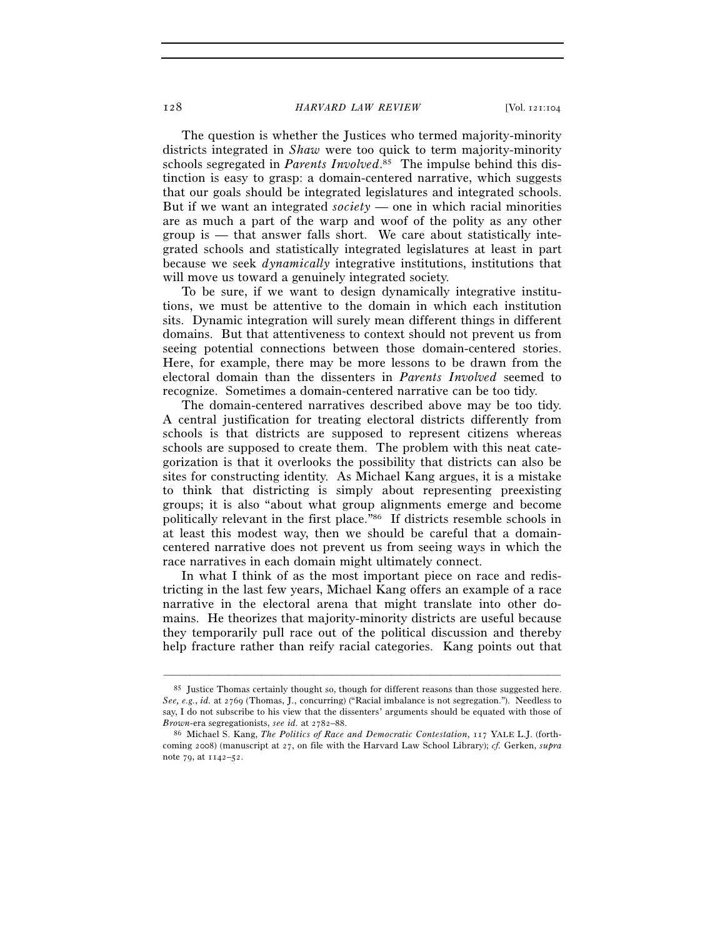The question is whether the Justices who termed majority-minority districts integrated in *Shaw* were too quick to term majority-minority schools segregated in *Parents Involved*. 85 The impulse behind this distinction is easy to grasp: a domain-centered narrative, which suggests that our goals should be integrated legislatures and integrated schools. But if we want an integrated *society* — one in which racial minorities are as much a part of the warp and woof of the polity as any other group is — that answer falls short. We care about statistically integrated schools and statistically integrated legislatures at least in part because we seek *dynamically* integrative institutions, institutions that will move us toward a genuinely integrated society.

To be sure, if we want to design dynamically integrative institutions, we must be attentive to the domain in which each institution sits. Dynamic integration will surely mean different things in different domains. But that attentiveness to context should not prevent us from seeing potential connections between those domain-centered stories. Here, for example, there may be more lessons to be drawn from the electoral domain than the dissenters in *Parents Involved* seemed to recognize. Sometimes a domain-centered narrative can be too tidy.

The domain-centered narratives described above may be too tidy. A central justification for treating electoral districts differently from schools is that districts are supposed to represent citizens whereas schools are supposed to create them. The problem with this neat categorization is that it overlooks the possibility that districts can also be sites for constructing identity. As Michael Kang argues, it is a mistake to think that districting is simply about representing preexisting groups; it is also "about what group alignments emerge and become politically relevant in the first place."86 If districts resemble schools in at least this modest way, then we should be careful that a domaincentered narrative does not prevent us from seeing ways in which the race narratives in each domain might ultimately connect.

In what I think of as the most important piece on race and redistricting in the last few years, Michael Kang offers an example of a race narrative in the electoral arena that might translate into other domains. He theorizes that majority-minority districts are useful because they temporarily pull race out of the political discussion and thereby help fracture rather than reify racial categories. Kang points out that

<sup>85</sup> Justice Thomas certainly thought so, though for different reasons than those suggested here. *See, e.g.*, *id.* at 2769 (Thomas, J., concurring) ("Racial imbalance is not segregation."). Needless to say, I do not subscribe to his view that the dissenters' arguments should be equated with those of *Brown*-era segregationists, *see id.* at 2782–88.<br><sup>86</sup> Michael S. Kang, *The Politics of Race and Democratic Contestation*, 117 YALE L.J. (forth-

coming 2008) (manuscript at 27, on file with the Harvard Law School Library); *cf.* Gerken, *supra* note 79, at 1142–52.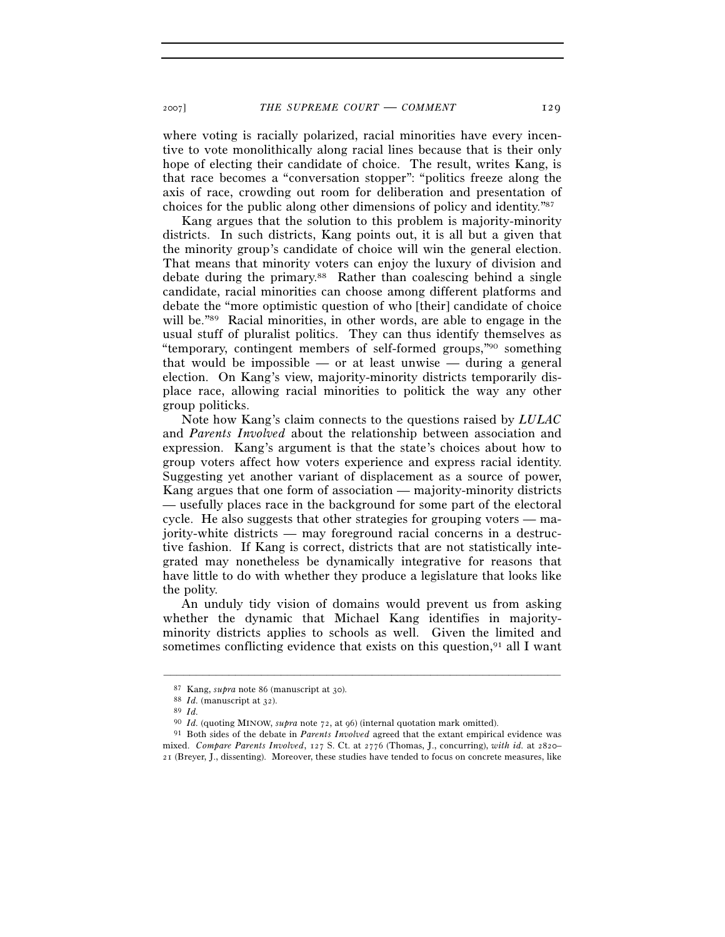2007] *THE SUPREME COURT* — *COMMENT* 129

where voting is racially polarized, racial minorities have every incentive to vote monolithically along racial lines because that is their only hope of electing their candidate of choice. The result, writes Kang, is that race becomes a "conversation stopper": "politics freeze along the axis of race, crowding out room for deliberation and presentation of choices for the public along other dimensions of policy and identity."87

Kang argues that the solution to this problem is majority-minority districts. In such districts, Kang points out, it is all but a given that the minority group's candidate of choice will win the general election. That means that minority voters can enjoy the luxury of division and debate during the primary.88 Rather than coalescing behind a single candidate, racial minorities can choose among different platforms and debate the "more optimistic question of who [their] candidate of choice will be."<sup>89</sup> Racial minorities, in other words, are able to engage in the usual stuff of pluralist politics. They can thus identify themselves as "temporary, contingent members of self-formed groups,"90 something that would be impossible  $-$  or at least unwise  $-$  during a general election. On Kang's view, majority-minority districts temporarily displace race, allowing racial minorities to politick the way any other group politicks.

Note how Kang's claim connects to the questions raised by *LULAC* and *Parents Involved* about the relationship between association and expression. Kang's argument is that the state's choices about how to group voters affect how voters experience and express racial identity. Suggesting yet another variant of displacement as a source of power, Kang argues that one form of association — majority-minority districts — usefully places race in the background for some part of the electoral cycle. He also suggests that other strategies for grouping voters — majority-white districts — may foreground racial concerns in a destructive fashion. If Kang is correct, districts that are not statistically integrated may nonetheless be dynamically integrative for reasons that have little to do with whether they produce a legislature that looks like the polity.

An unduly tidy vision of domains would prevent us from asking whether the dynamic that Michael Kang identifies in majorityminority districts applies to schools as well. Given the limited and sometimes conflicting evidence that exists on this question,  $91$  all I want

<sup>&</sup>lt;sup>87</sup> Kang, *supra* note 86 (manuscript at 30).<br><sup>88</sup> *Id.* (manuscript at 32).<br><sup>89</sup> *Id.* (quoting MINOW, *supra* note 72, at 96) (internal quotation mark omitted).<br><sup>91</sup> Both sides of the debate in *Parents Involved* agree

mixed. *Compare Parents Involved*, 127 S. Ct. at 2776 (Thomas, J., concurring), *with id.* at 2820– 21 (Breyer, J., dissenting). Moreover, these studies have tended to focus on concrete measures, like